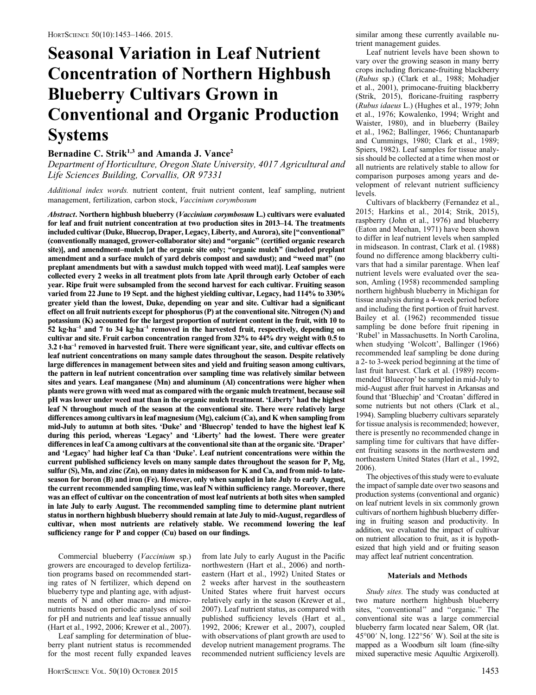# Seasonal Variation in Leaf Nutrient Concentration of Northern Highbush Blueberry Cultivars Grown in Conventional and Organic Production Systems

# Bernadine C. Strik<sup>1,3</sup> and Amanda J. Vance<sup>2</sup>

Department of Horticulture, Oregon State University, 4017 Agricultural and Life Sciences Building, Corvallis, OR 97331

Additional index words. nutrient content, fruit nutrient content, leaf sampling, nutrient management, fertilization, carbon stock, Vaccinium corymbosum

Abstract. Northern highbush blueberry (Vaccinium corymbosum L.) cultivars were evaluated for leaf and fruit nutrient concentration at two production sites in 2013–14. The treatments included cultivar (Duke, Bluecrop, Draper, Legacy, Liberty, and Aurora), site [''conventional'' (conventionally managed, grower-collaborator site) and ''organic'' (certified organic research site)], and amendment–mulch [at the organic site only; ''organic mulch'' (included preplant amendment and a surface mulch of yard debris compost and sawdust); and "weed mat" (no preplant amendments but with a sawdust mulch topped with weed mat)]. Leaf samples were collected every 2 weeks in all treatment plots from late April through early October of each year. Ripe fruit were subsampled from the second harvest for each cultivar. Fruiting season varied from 22 June to 19 Sept. and the highest yielding cultivar, Legacy, had 114% to 330% greater yield than the lowest, Duke, depending on year and site. Cultivar had a significant effect on all fruit nutrients except for phosphorus (P) at the conventional site. Nitrogen (N) and potassium (K) accounted for the largest proportion of nutrient content in the fruit, with 10 to  $52$  kg·ha<sup>-1</sup> and  $7$  to  $34$  kg·ha<sup>-1</sup> removed in the harvested fruit, respectively, depending on cultivar and site. Fruit carbon concentration ranged from 32% to 44% dry weight with 0.5 to  $3.2$  t $\cdot$ ha<sup>-1</sup> removed in harvested fruit. There were significant year, site, and cultivar effects on leaf nutrient concentrations on many sample dates throughout the season. Despite relatively large differences in management between sites and yield and fruiting season among cultivars, the pattern in leaf nutrient concentration over sampling time was relatively similar between sites and years. Leaf manganese (Mn) and aluminum (Al) concentrations were higher when plants were grown with weed mat as compared with the organic mulch treatment, because soil pH was lower under weed mat than in the organic mulch treatment. 'Liberty' had the highest leaf N throughout much of the season at the conventional site. There were relatively large differences among cultivars in leaf magnesium (Mg), calcium (Ca), and K when sampling from mid-July to autumn at both sites. 'Duke' and 'Bluecrop' tended to have the highest leaf K during this period, whereas 'Legacy' and 'Liberty' had the lowest. There were greater differences in leaf Ca among cultivars at the conventional site than at the organic site. 'Draper' and 'Legacy' had higher leaf Ca than 'Duke'. Leaf nutrient concentrations were within the current published sufficiency levels on many sample dates throughout the season for P, Mg, sulfur  $(S)$ , Mn, and zinc  $(Zn)$ , on many dates in midseason for K and Ca, and from mid- to lateseason for boron (B) and iron (Fe). However, only when sampled in late July to early August, the current recommended sampling time, was leaf N within sufficiency range. Moreover, there was an effect of cultivar on the concentration of most leaf nutrients at both sites when sampled in late July to early August. The recommended sampling time to determine plant nutrient status in northern highbush blueberry should remain at late July to mid-August, regardless of cultivar, when most nutrients are relatively stable. We recommend lowering the leaf sufficiency range for P and copper (Cu) based on our findings.

Commercial blueberry (Vaccinium sp.) growers are encouraged to develop fertilization programs based on recommended starting rates of N fertilizer, which depend on blueberry type and planting age, with adjustments of N and other macro- and micronutrients based on periodic analyses of soil for pH and nutrients and leaf tissue annually (Hart et al., 1992, 2006; Krewer et al., 2007).

Leaf sampling for determination of blueberry plant nutrient status is recommended for the most recent fully expanded leaves from late July to early August in the Pacific northwestern (Hart et al., 2006) and northeastern (Hart et al., 1992) United States or 2 weeks after harvest in the southeastern United States where fruit harvest occurs relatively early in the season (Krewer et al., 2007). Leaf nutrient status, as compared with published sufficiency levels (Hart et al., 1992, 2006; Krewer et al., 2007), coupled with observations of plant growth are used to develop nutrient management programs. The recommended nutrient sufficiency levels are similar among these currently available nutrient management guides.

Leaf nutrient levels have been shown to vary over the growing season in many berry crops including floricane-fruiting blackberry (Rubus sp.) (Clark et al., 1988; Mohadjer et al., 2001), primocane-fruiting blackberry (Strik, 2015), floricane-fruiting raspberry (Rubus idaeus L.) (Hughes et al., 1979; John et al., 1976; Kowalenko, 1994; Wright and Waister, 1980), and in blueberry (Bailey et al., 1962; Ballinger, 1966; Chuntanaparb and Cummings, 1980; Clark et al., 1989; Spiers, 1982). Leaf samples for tissue analysis should be collected at a time when most or all nutrients are relatively stable to allow for comparison purposes among years and development of relevant nutrient sufficiency levels.

Cultivars of blackberry (Fernandez et al., 2015; Harkins et al., 2014; Strik, 2015), raspberry (John et al., 1976) and blueberry (Eaton and Meehan, 1971) have been shown to differ in leaf nutrient levels when sampled in midseason. In contrast, Clark et al. (1988) found no difference among blackberry cultivars that had a similar parentage. When leaf nutrient levels were evaluated over the season, Amling (1958) recommended sampling northern highbush blueberry in Michigan for tissue analysis during a 4-week period before and including the first portion of fruit harvest. Bailey et al. (1962) recommended tissue sampling be done before fruit ripening in 'Rubel' in Massachusetts. In North Carolina, when studying 'Wolcott', Ballinger (1966) recommended leaf sampling be done during a 2- to 3-week period beginning at the time of last fruit harvest. Clark et al. (1989) recommended 'Bluecrop' be sampled in mid-July to mid-August after fruit harvest in Arkansas and found that 'Bluechip' and 'Croatan' differed in some nutrients but not others (Clark et al., 1994). Sampling blueberry cultivars separately for tissue analysis is recommended; however, there is presently no recommended change in sampling time for cultivars that have different fruiting seasons in the northwestern and northeastern United States (Hart et al., 1992, 2006).

The objectives of this study were to evaluate the impact of sample date over two seasons and production systems (conventional and organic) on leaf nutrient levels in six commonly grown cultivars of northern highbush blueberry differing in fruiting season and productivity. In addition, we evaluated the impact of cultivar on nutrient allocation to fruit, as it is hypothesized that high yield and or fruiting season may affect leaf nutrient concentration.

### Materials and Methods

Study sites. The study was conducted at two mature northern highbush blueberry sites, "conventional" and "organic." The conventional site was a large commercial blueberry farm located near Salem, OR (lat. 45 $\degree$ 00' N, long. 122 $\degree$ 56' W). Soil at the site is mapped as a Woodburn silt loam (fine-silty mixed superactive mesic Aquultic Argixeroll).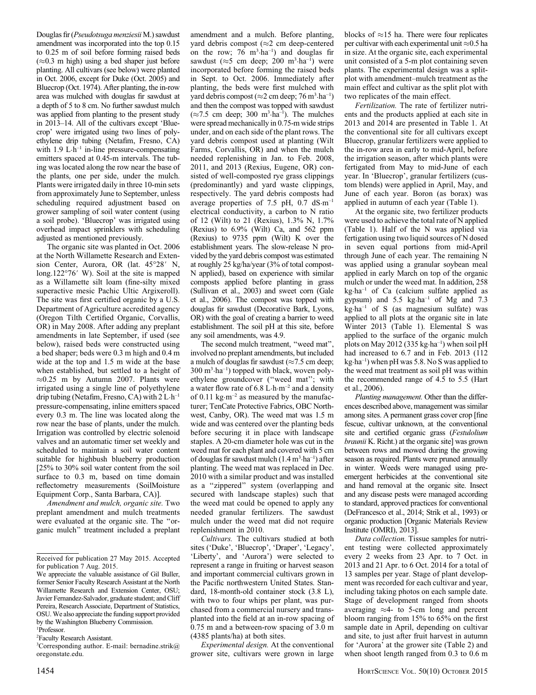Douglas fir (Pseudotsuga menziesii M.) sawdust amendment was incorporated into the top 0.15 to 0.25 m of soil before forming raised beds  $(\approx 0.3 \text{ m high})$  using a bed shaper just before planting. All cultivars (see below) were planted in Oct. 2006, except for Duke (Oct. 2005) and Bluecrop (Oct. 1974). After planting, the in-row area was mulched with douglas fir sawdust at a depth of 5 to 8 cm. No further sawdust mulch was applied from planting to the present study in 2013–14. All of the cultivars except 'Bluecrop' were irrigated using two lines of polyethylene drip tubing (Netafim, Fresno, CA) with 1.9 L·h<sup>-1</sup> in-line pressure-compensating emitters spaced at 0.45-m intervals. The tubing was located along the row near the base of the plants, one per side, under the mulch. Plants were irrigated daily in three 10-min sets from approximately June to September, unless scheduling required adjustment based on grower sampling of soil water content (using a soil probe). 'Bluecrop' was irrigated using overhead impact sprinklers with scheduling adjusted as mentioned previously.

The organic site was planted in Oct. 2006 at the North Willamette Research and Extension Center, Aurora, OR (lat. 45°28' N. long.122 $\degree$ 76' W). Soil at the site is mapped as a Willamette silt loam (fine-silty mixed superactive mesic Pachic Ultic Argixeroll). The site was first certified organic by a U.S. Department of Agriculture accredited agency (Oregon Tilth Certified Organic, Corvallis, OR) in May 2008. After adding any preplant amendments in late September, if used (see below), raised beds were constructed using a bed shaper; beds were 0.3 m high and 0.4 m wide at the top and 1.5 m wide at the base when established, but settled to a height of  $\approx 0.25$  m by Autumn 2007. Plants were irrigated using a single line of polyethylene drip tubing (Netafim, Fresno, CA) with 2 L·h–1 pressure-compensating, inline emitters spaced every 0.3 m. The line was located along the row near the base of plants, under the mulch. Irrigation was controlled by electric solenoid valves and an automatic timer set weekly and scheduled to maintain a soil water content suitable for highbush blueberry production [25% to 30% soil water content from the soil surface to 0.3 m, based on time domain reflectometry measurements (SoilMoisture Equipment Corp., Santa Barbara, CA)].

Amendment and mulch, organic site. Two preplant amendment and mulch treatments were evaluated at the organic site. The ''organic mulch'' treatment included a preplant

2 Faculty Research Assistant.

amendment and a mulch. Before planting, yard debris compost ( $\approx$ 2 cm deep-centered on the row;  $76 \text{ m}^3 \cdot \text{ha}^{-1}$  and douglas fir sawdust ( $\approx$ 5 cm deep; 200 m<sup>3</sup>·ha<sup>-1</sup>) were incorporated before forming the raised beds in Sept. to Oct. 2006. Immediately after planting, the beds were first mulched with yard debris compost ( $\approx$ 2 cm deep; 76 m<sup>3</sup> ha<sup>-1</sup>) and then the compost was topped with sawdust  $(\approx 7.5 \text{ cm deep}; 300 \text{ m}^3 \cdot \text{ha}^{-1})$ . The mulches were spread mechanically in 0.75-m wide strips under, and on each side of the plant rows. The yard debris compost used at planting (Wilt Farms, Corvallis, OR) and when the mulch needed replenishing in Jan. to Feb. 2008, 2011, and 2013 (Rexius, Eugene, OR) consisted of well-composted rye grass clippings (predominantly) and yard waste clippings, respectively. The yard debris composts had average properties of 7.5 pH,  $0.7 \text{ dS} \cdot \text{m}^{-1}$ electrical conductivity, a carbon to N ratio of 12 (Wilt) to 21 (Rexius), 1.3% N, 1.7% (Rexius) to 6.9% (Wilt) Ca, and 562 ppm (Rexius) to 9735 ppm (Wilt) K over the establishment years. The slow-release N provided by the yard debris compost was estimated at roughly 25 kg/ha/year (3% of total compost-N applied), based on experience with similar composts applied before planting in grass (Sullivan et al., 2003) and sweet corn (Gale et al., 2006). The compost was topped with douglas fir sawdust (Decorative Bark, Lyons, OR) with the goal of creating a barrier to weed establishment. The soil pH at this site, before any soil amendments, was 4.9.

The second mulch treatment, ''weed mat'', involved no preplant amendments, but included a mulch of douglas fir sawdust ( $\approx$ 7.5 cm deep; 300 m3 ·ha–1) topped with black, woven polyethylene groundcover (''weed mat''; with a water flow rate of  $6.8$  L·h·m<sup>-2</sup> and a density of 0.11 kg·m<sup>-2</sup> as measured by the manufacturer; TenCate Protective Fabrics, OBC Northwest, Canby, OR). The weed mat was 1.5 m wide and was centered over the planting beds before securing it in place with landscape staples. A 20-cm diameter hole was cut in the weed mat for each plant and covered with 5 cm of douglas fir sawdust mulch  $(1.4 \text{ m}^3 \cdot \text{ha}^{-1})$  after planting. The weed mat was replaced in Dec. 2010 with a similar product and was installed as a ''zippered'' system (overlapping and secured with landscape staples) such that the weed mat could be opened to apply any needed granular fertilizers. The sawdust mulch under the weed mat did not require replenishment in 2010.

Cultivars. The cultivars studied at both sites ('Duke', 'Bluecrop', 'Draper', 'Legacy', 'Liberty', and 'Aurora') were selected to represent a range in fruiting or harvest season and important commercial cultivars grown in the Pacific northwestern United States. Standard, 18-month-old container stock (3.8 L), with two to four whips per plant, was purchased from a commercial nursery and transplanted into the field at an in-row spacing of 0.75 m and a between-row spacing of 3.0 m (4385 plants/ha) at both sites.

Experimental design. At the conventional grower site, cultivars were grown in large

blocks of  $\approx$ 15 ha. There were four replicates per cultivar with each experimental unit  $\approx 0.5$  ha in size. At the organic site, each experimental unit consisted of a 5-m plot containing seven plants. The experimental design was a splitplot with amendment–mulch treatment as the main effect and cultivar as the split plot with two replicates of the main effect.

Fertilization. The rate of fertilizer nutrients and the products applied at each site in 2013 and 2014 are presented in Table 1. At the conventional site for all cultivars except Bluecrop, granular fertilizers were applied to the in-row area in early to mid-April, before the irrigation season, after which plants were fertigated from May to mid-June of each year. In 'Bluecrop', granular fertilizers (custom blends) were applied in April, May, and June of each year. Boron (as borax) was applied in autumn of each year (Table 1).

At the organic site, two fertilizer products were used to achieve the total rate of N applied (Table 1). Half of the N was applied via fertigation using two liquid sources of N dosed in seven equal portions from mid-April through June of each year. The remaining N was applied using a granular soybean meal applied in early March on top of the organic mulch or under the weed mat. In addition, 258  $kg \cdot ha^{-1}$  of Ca (calcium sulfate applied as gypsum) and  $5.5 \text{ kg} \cdot \text{ha}^{-1}$  of Mg and 7.3  $kg \cdot ha^{-1}$  of S (as magnesium sulfate) was applied to all plots at the organic site in late Winter 2013 (Table 1). Elemental S was applied to the surface of the organic mulch plots on May 2012 (335 kg $\cdot$ ha<sup>-1</sup>) when soil pH had increased to 6.7 and in Feb. 2013 (112) kg·ha–1) when pH was 5.8. No S was applied to the weed mat treatment as soil pH was within the recommended range of 4.5 to 5.5 (Hart et al., 2006).

Planting management. Other than the differences described above, management was similar among sites. A permanent grass cover crop [fine fescue, cultivar unknown, at the conventional site and certified organic grass (Festulolium braunii K. Richt.) at the organic site] was grown between rows and mowed during the growing season as required. Plants were pruned annually in winter. Weeds were managed using preemergent herbicides at the conventional site and hand removal at the organic site. Insect and any disease pests were managed according to standard, approved practices for conventional (DeFrancesco et al., 2014; Strik et al., 1993) or organic production [Organic Materials Review Institute (OMRI), 2013].

Data collection. Tissue samples for nutrient testing were collected approximately every 2 weeks from 23 Apr. to 7 Oct. in 2013 and 21 Apr. to 6 Oct. 2014 for a total of 13 samples per year. Stage of plant development was recorded for each cultivar and year, including taking photos on each sample date. Stage of development ranged from shoots averaging  $\approx$ 4- to 5-cm long and percent bloom ranging from 15% to 65% on the first sample date in April, depending on cultivar and site, to just after fruit harvest in autumn for 'Aurora' at the grower site (Table 2) and when shoot length ranged from 0.3 to 0.6 m

Received for publication 27 May 2015. Accepted for publication 7 Aug. 2015.

We appreciate the valuable assistance of Gil Buller. former Senior Faculty Research Assistant at the North Willamette Research and Extension Center, OSU; Javier Fernandez-Salvador, graduate student; and Cliff Pereira, Research Associate, Department of Statistics, OSU.We also appreciate the funding support provided by the Washington Blueberry Commission. 1 Professor.

<sup>3</sup> Corresponding author. E-mail: bernadine.strik@ oregonstate.edu.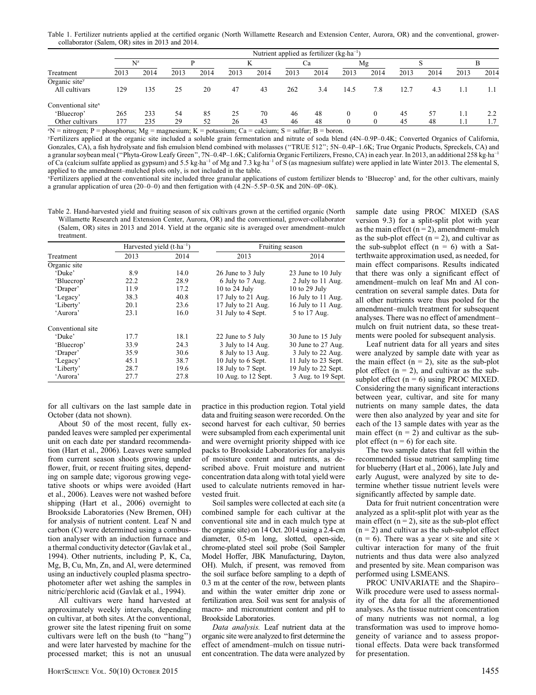Table 1. Fertilizer nutrients applied at the certified organic (North Willamette Research and Extension Center, Aurora, OR) and the conventional, growercollaborator (Salem, OR) sites in 2013 and 2014.

| 2013 | 2014 | 2013  | 2014 | 2013 | 2014 | 2013 | 2014 | 2013     | 2014                                                    | 2013 | 2014 | 2013 | 2014 |
|------|------|-------|------|------|------|------|------|----------|---------------------------------------------------------|------|------|------|------|
|      |      |       |      |      |      |      |      |          |                                                         |      |      |      |      |
| 129  | 135  | 25    | 20   | 47   | 43   | 262  | 3.4  | 14.5     | 7.8                                                     | 12.7 | 4.3  |      |      |
|      |      |       |      |      |      |      |      |          |                                                         |      |      |      |      |
| 265  | 233  | 54    | 85   | 25   | 70   | 46   | 48   | $\Omega$ | $\theta$                                                | 45   | 57   |      | 2.2  |
| 177  | 235  | 29    | 52   | 26   | 43   | 46   | 48   |          | $\Omega$                                                | 45   | 48   |      |      |
|      |      | $N^z$ |      |      |      |      |      | Cа       | Nutrient applied as fertilizer ( $kg \text{ ha}^{-1}$ ) | Mg   |      |      |      |

 $ZN$  = nitrogen; P = phosphorus; Mg = magnesium; K = potassium; Ca = calcium; S = sulfur; B = boron.

y Fertilizers applied at the organic site included a soluble grain fermentation and nitrate of soda blend (4N–0.9P–0.4K; Converted Organics of California, Gonzales, CA), a fish hydrolysate and fish emulsion blend combined with molasses ("TRUE 512"; 5N–0.4P–1.6K; True Organic Products, Spreckels, CA) and a granular soybean meal ("Phyta-Grow Leafy Green", 7N–0.4P–1.6K; California Organic Fertilizers, Fresno, CA) in each year. In 2013, an additional 258 kg·ha<sup>-1</sup> of Ca (calcium sulfate applied as gypsum) and 5.5 kg·ha<sup>-1</sup> of Mg and 7.3 kg·ha<sup>-1</sup> of S (as magnesium sulfate) were applied in late Winter 2013. The elemental S, applied to the amendment–mulched plots only, is not included in the table.

x Fertilizers applied at the conventional site included three granular applications of custom fertilizer blends to 'Bluecrop' and, for the other cultivars, mainly a granular application of urea (20–0–0) and then fertigation with (4.2N–5.5P–0.5K and 20N–0P–0K).

Table 2. Hand-harvested yield and fruiting season of six cultivars grown at the certified organic (North Willamette Research and Extension Center, Aurora, OR) and the conventional, grower-collaborator (Salem, OR) sites in 2013 and 2014. Yield at the organic site is averaged over amendment–mulch treatment.

|                   |      | Harvested yield $(t \cdot ha^{-1})$ |                     | Fruiting season     |
|-------------------|------|-------------------------------------|---------------------|---------------------|
| Treatment         | 2013 | 2014                                | 2013                | 2014                |
| Organic site      |      |                                     |                     |                     |
| 'Duke'            | 8.9  | 14.0                                | 26 June to 3 July   | 23 June to 10 July  |
| 'Bluecrop'        | 22.2 | 28.9                                | 6 July to 7 Aug.    | 2 July to 11 Aug.   |
| 'Draper'          | 11.9 | 17.2                                | 10 to 24 July       | 10 to 29 July       |
| 'Legacy'          | 38.3 | 40.8                                | 17 July to 21 Aug.  | 16 July to 11 Aug.  |
| 'Liberty'         | 20.1 | 23.6                                | 17 July to 21 Aug.  | 16 July to 11 Aug.  |
| 'Aurora'          | 23.1 | 16.0                                | 31 July to 4 Sept.  | 5 to 17 Aug.        |
| Conventional site |      |                                     |                     |                     |
| 'Duke'            | 17.7 | 18.1                                | 22 June to 5 July   | 30 June to 15 July  |
| 'Bluecrop'        | 33.9 | 24.3                                | 3 July to 14 Aug.   | 30 June to 27 Aug.  |
| 'Draper'          | 35.9 | 30.6                                | 8 July to 13 Aug.   | 3 July to 22 Aug.   |
| 'Legacy'          | 45.1 | 38.7                                | 10 July to 6 Sept.  | 11 July to 23 Sept. |
| 'Liberty'         | 28.7 | 19.6                                | 18 July to 7 Sept.  | 19 July to 22 Sept. |
| 'Aurora'          | 27.7 | 27.8                                | 10 Aug. to 12 Sept. | 3 Aug. to 19 Sept.  |

for all cultivars on the last sample date in October (data not shown).

About 50 of the most recent, fully expanded leaves were sampled per experimental unit on each date per standard recommendation (Hart et al., 2006). Leaves were sampled from current season shoots growing under flower, fruit, or recent fruiting sites, depending on sample date; vigorous growing vegetative shoots or whips were avoided (Hart et al., 2006). Leaves were not washed before shipping (Hart et al., 2006) overnight to Brookside Laboratories (New Bremen, OH) for analysis of nutrient content. Leaf N and carbon (C) were determined using a combustion analyser with an induction furnace and a thermal conductivity detector (Gavlak et al., 1994). Other nutrients, including P, K, Ca, Mg, B, Cu, Mn, Zn, and Al, were determined using an inductively coupled plasma spectrophotometer after wet ashing the samples in nitric/perchloric acid (Gavlak et al., 1994).

All cultivars were hand harvested at approximately weekly intervals, depending on cultivar, at both sites. At the conventional, grower site the latest ripening fruit on some cultivars were left on the bush (to ''hang'') and were later harvested by machine for the processed market; this is not an unusual practice in this production region. Total yield data and fruiting season were recorded. On the second harvest for each cultivar, 50 berries were subsampled from each experimental unit and were overnight priority shipped with ice packs to Brookside Laboratories for analysis of moisture content and nutrients, as described above. Fruit moisture and nutrient concentration data along with total yield were used to calculate nutrients removed in harvested fruit.

Soil samples were collected at each site (a combined sample for each cultivar at the conventional site and in each mulch type at the organic site) on 14 Oct. 2014 using a 2.4-cm diameter, 0.5-m long, slotted, open-side, chrome-plated steel soil probe (Soil Sampler Model Hoffer, JBK Manufacturing, Dayton, OH). Mulch, if present, was removed from the soil surface before sampling to a depth of 0.3 m at the center of the row, between plants and within the water emitter drip zone or fertilization area. Soil was sent for analysis of macro- and micronutrient content and pH to Brookside Laboratories.

Data analysis. Leaf nutrient data at the organic site were analyzed to first determine the effect of amendment–mulch on tissue nutrient concentration. The data were analyzed by

sample date using PROC MIXED (SAS version 9.3) for a split-split plot with year as the main effect  $(n = 2)$ , amendment–mulch as the sub-plot effect  $(n = 2)$ , and cultivar as the sub-subplot effect  $(n = 6)$  with a Satterthwaite approximation used, as needed, for main effect comparisons. Results indicated that there was only a significant effect of amendment–mulch on leaf Mn and Al concentration on several sample dates. Data for all other nutrients were thus pooled for the amendment–mulch treatment for subsequent analyses. There was no effect of amendment– mulch on fruit nutrient data, so these treatments were pooled for subsequent analysis.

Leaf nutrient data for all years and sites were analyzed by sample date with year as the main effect  $(n = 2)$ , site as the sub-plot plot effect  $(n = 2)$ , and cultivar as the subsubplot effect  $(n = 6)$  using PROC MIXED. Considering the many significant interactions between year, cultivar, and site for many nutrients on many sample dates, the data were then also analyzed by year and site for each of the 13 sample dates with year as the main effect  $(n = 2)$  and cultivar as the subplot effect  $(n = 6)$  for each site.

The two sample dates that fell within the recommended tissue nutrient sampling time for blueberry (Hart et al., 2006), late July and early August, were analyzed by site to determine whether tissue nutrient levels were significantly affected by sample date.

Data for fruit nutrient concentration were analyzed as a split-split plot with year as the main effect  $(n = 2)$ , site as the sub-plot effect  $(n = 2)$  and cultivar as the sub-subplot effect  $(n = 6)$ . There was a year  $\times$  site and site  $\times$ cultivar interaction for many of the fruit nutrients and thus data were also analyzed and presented by site. Mean comparison was performed using LSMEANS.

PROC UNIVARIATE and the Shapiro– Wilk procedure were used to assess normality of the data for all the aforementioned analyses. As the tissue nutrient concentration of many nutrients was not normal, a log transformation was used to improve homogeneity of variance and to assess proportional effects. Data were back transformed for presentation.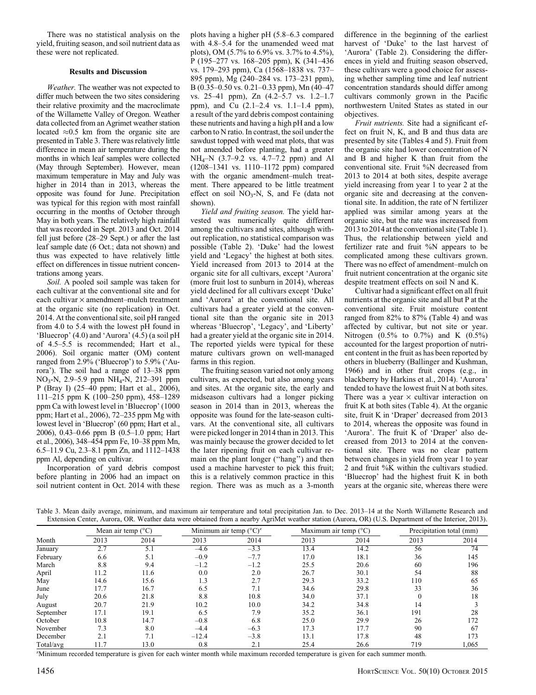There was no statistical analysis on the yield, fruiting season, and soil nutrient data as these were not replicated.

## Results and Discussion

Weather. The weather was not expected to differ much between the two sites considering their relative proximity and the macroclimate of the Willamette Valley of Oregon. Weather data collected from an Agrimet weather station located  $\approx 0.5$  km from the organic site are presented in Table 3. There was relatively little difference in mean air temperature during the months in which leaf samples were collected (May through September). However, mean maximum temperature in May and July was higher in 2014 than in 2013, whereas the opposite was found for June. Precipitation was typical for this region with most rainfall occurring in the months of October through May in both years. The relatively high rainfall that was recorded in Sept. 2013 and Oct. 2014 fell just before (28–29 Sept.) or after the last leaf sample date (6 Oct.; data not shown) and thus was expected to have relatively little effect on differences in tissue nutrient concentrations among years.

Soil. A pooled soil sample was taken for each cultivar at the conventional site and for each cultivar  $\times$  amendment–mulch treatment at the organic site (no replication) in Oct. 2014. At the conventional site, soil pH ranged from 4.0 to 5.4 with the lowest pH found in 'Bluecrop' (4.0) and 'Aurora' (4.5) (a soil pH of 4.5–5.5 is recommended; Hart et al., 2006). Soil organic matter (OM) content ranged from 2.9% ('Bluecrop') to 5.9% ('Aurora'). The soil had a range of 13–38 ppm NO3-N, 2.9–5.9 ppm NH4-N, 212–391 ppm P (Bray I) (25–40 ppm; Hart et al., 2006), 111–215 ppm K (100–250 ppm), 458–1289 ppm Ca with lowest level in 'Bluecrop' (1000 ppm; Hart et al., 2006), 72–235 ppm Mg with lowest level in 'Bluecrop' (60 ppm; Hart et al., 2006), 0.43–0.66 ppm B (0.5–1.0 ppm; Hart et al., 2006), 348–454 ppm Fe, 10–38 ppm Mn, 6.5–11.9 Cu, 2.3–8.1 ppm Zn, and 1112–1438 ppm Al, depending on cultivar.

Incorporation of yard debris compost before planting in 2006 had an impact on soil nutrient content in Oct. 2014 with these plots having a higher pH (5.8–6.3 compared with 4.8–5.4 for the unamended weed mat plots), OM (5.7% to 6.9% vs. 3.7% to 4.5%), P (195–277 vs. 168–205 ppm), K (341–436 vs. 179–293 ppm), Ca (1568–1838 vs. 737– 895 ppm), Mg (240–284 vs. 173–231 ppm), B (0.35–0.50 vs. 0.21–0.33 ppm), Mn (40–47 vs. 25–41 ppm), Zn (4.2–5.7 vs. 1.2–1.7 ppm), and Cu (2.1–2.4 vs. 1.1–1.4 ppm), a result of the yard debris compost containing these nutrients and having a high pH and a low carbon to N ratio. In contrast, the soil under the sawdust topped with weed mat plots, that was not amended before planting, had a greater NH4–N (3.7–9.2 vs. 4.7–7.2 ppm) and Al (1208–1341 vs. 1110–1172 ppm) compared with the organic amendment–mulch treatment. There appeared to be little treatment effect on soil  $NO_3-N$ , S, and Fe (data not shown).

Yield and fruiting season. The yield harvested was numerically quite different among the cultivars and sites, although without replication, no statistical comparison was possible (Table 2). 'Duke' had the lowest yield and 'Legacy' the highest at both sites. Yield increased from 2013 to 2014 at the organic site for all cultivars, except 'Aurora' (more fruit lost to sunburn in 2014), whereas yield declined for all cultivars except 'Duke' and 'Aurora' at the conventional site. All cultivars had a greater yield at the conventional site than the organic site in 2013 whereas 'Bluecrop', 'Legacy', and 'Liberty' had a greater yield at the organic site in 2014. The reported yields were typical for these mature cultivars grown on well-managed farms in this region.

The fruiting season varied not only among cultivars, as expected, but also among years and sites. At the organic site, the early and midseason cultivars had a longer picking season in 2014 than in 2013, whereas the opposite was found for the late-season cultivars. At the conventional site, all cultivars were picked longer in 2014 than in 2013. This was mainly because the grower decided to let the later ripening fruit on each cultivar remain on the plant longer (''hang'') and then used a machine harvester to pick this fruit; this is a relatively common practice in this region. There was as much as a 3-month difference in the beginning of the earliest harvest of 'Duke' to the last harvest of 'Aurora' (Table 2). Considering the differences in yield and fruiting season observed, these cultivars were a good choice for assessing whether sampling time and leaf nutrient concentration standards should differ among cultivars commonly grown in the Pacific northwestern United States as stated in our objectives.

Fruit nutrients. Site had a significant effect on fruit N, K, and B and thus data are presented by site (Tables 4 and 5). Fruit from the organic site had lower concentration of N and B and higher K than fruit from the conventional site. Fruit %N decreased from 2013 to 2014 at both sites, despite average yield increasing from year 1 to year 2 at the organic site and decreasing at the conventional site. In addition, the rate of N fertilizer applied was similar among years at the organic site, but the rate was increased from 2013 to 2014 at the conventional site (Table 1). Thus, the relationship between yield and fertilizer rate and fruit %N appears to be complicated among these cultivars grown. There was no effect of amendment–mulch on fruit nutrient concentration at the organic site despite treatment effects on soil N and K.

Cultivar had a significant effect on all fruit nutrients at the organic site and all but P at the conventional site. Fruit moisture content ranged from 82% to 87% (Table 4) and was affected by cultivar, but not site or year. Nitrogen  $(0.5\% \text{ to } 0.7\%)$  and K  $(0.5\%)$ accounted for the largest proportion of nutrient content in the fruit as has been reported by others in blueberry (Ballinger and Kushman, 1966) and in other fruit crops (e.g., in blackberry by Harkins et al., 2014). 'Aurora' tended to have the lowest fruit N at both sites. There was a year  $\times$  cultivar interaction on fruit K at both sites (Table 4). At the organic site, fruit K in 'Draper' decreased from 2013 to 2014, whereas the opposite was found in 'Aurora'. The fruit K of 'Draper' also decreased from 2013 to 2014 at the conventional site. There was no clear pattern between changes in yield from year 1 to year 2 and fruit %K within the cultivars studied. 'Bluecrop' had the highest fruit K in both years at the organic site, whereas there were

| Table 3. Mean daily average, minimum, and maximum air temperature and total precipitation Jan. to Dec. 2013–14 at the North Willamette Research and  |  |  |  |  |  |  |
|------------------------------------------------------------------------------------------------------------------------------------------------------|--|--|--|--|--|--|
| Extension Center, Aurora, OR. Weather data were obtained from a nearby AgriMet weather station (Aurora, OR) (U.S. Department of the Interior, 2013). |  |  |  |  |  |  |

|           |      | Mean air temp $(^{\circ}C)$ |         | Minimum air temp $({}^{\circ}C)^{z}$ |      | Maximum air temp $(^{\circ}C)$ |      | Precipitation total (mm) |
|-----------|------|-----------------------------|---------|--------------------------------------|------|--------------------------------|------|--------------------------|
| Month     | 2013 | 2014                        | 2013    | 2014                                 | 2013 | 2014                           | 2013 | 2014                     |
| January   | 2.7  | 5.1                         | $-4.6$  | $-3.3$                               | 13.4 | 14.2                           | 56   | $7\overline{4}$          |
| February  | 6.6  | 5.1                         | $-0.9$  | $-7.7$                               | 17.0 | 18.1                           | 36   | 145                      |
| March     | 8.8  | 9.4                         | $-1.2$  | $-1.2$                               | 25.5 | 20.6                           | 60   | 196                      |
| April     | 11.2 | 11.6                        | 0.0     | 2.0                                  | 26.7 | 30.1                           | 54   | 88                       |
| May       | 14.6 | 15.6                        | 1.3     | 2.7                                  | 29.3 | 33.2                           | 110  | 65                       |
| June      | 17.7 | 16.7                        | 6.5     | 7.1                                  | 34.6 | 29.8                           | 33   | 36                       |
| July      | 20.6 | 21.8                        | 8.8     | 10.8                                 | 34.0 | 37.1                           |      | 18                       |
| August    | 20.7 | 21.9                        | 10.2    | 10.0                                 | 34.2 | 34.8                           | 14   |                          |
| September | 17.1 | 19.1                        | 6.5     | 7.9                                  | 35.2 | 36.1                           | 191  | 28                       |
| October   | 10.8 | 14.7                        | $-0.8$  | 6.8                                  | 25.0 | 29.9                           | 26   | 172                      |
| November  | 7.3  | 8.0                         | $-4.4$  | $-6.3$                               | 17.3 | 17.7                           | 90   | 67                       |
| December  | 2.1  | 7.1                         | $-12.4$ | $-3.8$                               | 13.1 | 17.8                           | 48   | 173                      |
| Total/avg | 11.7 | 13.0                        | 0.8     | 2.1                                  | 25.4 | 26.6                           | 719  | 1,065                    |

z Minimum recorded temperature is given for each winter month while maximum recorded temperature is given for each summer month.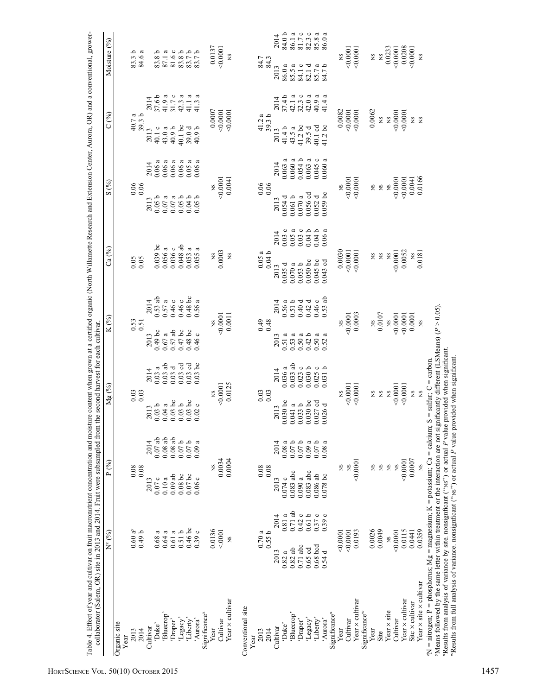|                                                                                                                                  | $N^z$ $(^{0}_{0})$ |           | P(%)        |                   | Мg                                          | $\mathcal{E}$ | $K(\%)$                                     |                       | Ca (%)             |       | S                    | $\mathcal{E}$          | C(9)               |                    | Moisture (%)             |                                  |
|----------------------------------------------------------------------------------------------------------------------------------|--------------------|-----------|-------------|-------------------|---------------------------------------------|---------------|---------------------------------------------|-----------------------|--------------------|-------|----------------------|------------------------|--------------------|--------------------|--------------------------|----------------------------------|
| Organic site<br>Year                                                                                                             |                    |           |             |                   |                                             |               |                                             |                       |                    |       |                      |                        |                    |                    |                          |                                  |
| 2013                                                                                                                             | $0.60 a^{y}$       |           | 0.08        |                   |                                             |               |                                             |                       |                    |       |                      |                        |                    |                    | 83.3 b                   |                                  |
| 2014                                                                                                                             | 0.49 <sub>b</sub>  |           | 0.08        |                   | $\begin{array}{c} 0.03 \\ 0.03 \end{array}$ |               | $\begin{array}{c} 0.53 \\ 0.51 \end{array}$ |                       | 0.05               |       | $0.06$<br>0.06       |                        | $40.7 a$<br>39.3 b |                    | 84.6 a                   |                                  |
| Cultivar                                                                                                                         |                    |           | 2013        | 2014              | 2013                                        | 2014          | 2013                                        | 2014                  |                    |       | 2013                 | 2014                   | 2013               | 2014               |                          |                                  |
| 'Duke'                                                                                                                           | 0.68a              |           | 0.07c       | $0.07$ ab         | 0.03 <sub>b</sub>                           | 0.03a         | $0.49$ bc                                   | $0.53$ ab             | $0.039$ bc         |       | 0.05 <sub>b</sub>    | $0.06a$                | 40.1 c             | 37.6 b             | 83.8 b                   |                                  |
| 'Bluecrop'                                                                                                                       | 0.64a              |           | 0.10a       | 0.08ab            | 0.04a                                       | $0.03$ ab     | $0.67$ a                                    | 0.57a                 | $0.056$ a          |       | $0.07\,\mathrm{a}$   | a<br>0.06:             | 43.0 a             | $41.9\,\mathrm{a}$ | 87.1 a                   |                                  |
| 'Draper'                                                                                                                         | 0.61a              |           | $0.09$ ab   | 0.08ab            | $0.03$ bc                                   | 0.03d         | $0.57$ ab                                   | 0.46c                 | 0.036c             |       | $0.07$ a             | $\mathfrak{a}$<br>0.06 | 40.9b              | 31.7c              | $81.6\;{\rm c}$          |                                  |
| 'Legacy'                                                                                                                         | 0.51b              |           | 0.08bc      | 0.07 <sub>b</sub> | 0.03 <sub>b</sub>                           | $0.03$ cd     | $0.47$ bc                                   | 0.46c                 | $0.048$ ab         |       | 0.05 <sub>b</sub>    | ದ<br>0.06              | 40.1 bc            | 42.3a              | 83.8 b                   |                                  |
| 'Liberty'                                                                                                                        | 0.46bc             |           | $0.07$ bc   | 0.07b             |                                             | $0.03$ cd     | $0.48\,\mathrm{\,bc}$                       |                       | $0.053$ a          |       |                      | ß                      | 39.0d              | 41.1 a             | 83.7b                    |                                  |
| 'Aurora'                                                                                                                         | 0.39c              |           | 0.06c       | 0.09a             | $0.03$ bc<br>$0.02$ c                       | $0.03$ bc     | 0.46c                                       | $0.48$ bc<br>$0.56$ a | 0.055              | a     | $0.04 b$<br>$0.05 b$ | ß<br>$0.05$ is         | 40.9b              | ß<br>41.3          | 83.7b                    |                                  |
| Significance <sup>x</sup>                                                                                                        |                    |           |             |                   |                                             |               |                                             |                       |                    |       |                      |                        |                    |                    |                          |                                  |
| Year                                                                                                                             | 0.0136             |           |             |                   |                                             |               |                                             |                       |                    |       |                      |                        |                    | 0.0007             | 0.0137                   |                                  |
| Cultivar                                                                                                                         | < 0001             |           | 0.0034<br>ž |                   | 0.0001<br>Ž                                 |               | 0.0001                                      |                       | 0.0003<br>SN       |       | 0.0001<br>XS         |                        | 0.0001             |                    | 0.0001                   |                                  |
| Year × cultivar                                                                                                                  | XS                 |           | 0.0004      |                   | 0.0125                                      |               |                                             | 0.0011                | $\mathbf{S}$       |       |                      | 0.0041                 | 0.0001             |                    | XS                       |                                  |
| Conventional site                                                                                                                |                    |           |             |                   |                                             |               |                                             |                       |                    |       |                      |                        |                    |                    |                          |                                  |
| Year                                                                                                                             |                    |           |             |                   |                                             |               |                                             |                       |                    |       |                      |                        |                    |                    |                          |                                  |
| 2013                                                                                                                             | 0.70a              |           | 0.08        |                   | $\begin{array}{c} 0.03 \\ 0.03 \end{array}$ |               | $649$<br>0.48                               |                       | $0.05a$<br>$0.04b$ |       | 0.06                 |                        | $41.2a$<br>39.3 b  |                    | 84.3<br>84.3             |                                  |
| 2014                                                                                                                             | 0.55b              |           | 0.08        |                   |                                             |               |                                             |                       |                    |       |                      |                        |                    |                    |                          |                                  |
| Cultivar                                                                                                                         | 2013               | 2014      | 2013        | 2014              | 2013                                        | 2014          | 2013                                        | 2014                  | 2013               | 2014  | 2013                 | 2014                   | 2013               | 2014               | 2013                     | 2014                             |
| 'Duke'                                                                                                                           | 0.82a              | 0.81a     | 0.074c      | 0.08a             | $0.030$ bc                                  | 0.036a        | 0.51a                                       | $0.56a$<br>$0.51b$    | 0.035 d            | 0.03c | 0.054d               | $0.063$ a              | 41.4b              | 37.4b              | 86.0 a                   | 84.0b                            |
| Bluecrop'                                                                                                                        | $0.82$ ab          | $0.71$ ab | $0.083$ abc | 0.07 <sub>b</sub> | $0.041$ a                                   | $0.033$ ab    | $0.53$ a                                    |                       | a<br>0.070:        | 0.05a | 0.061b               | $0.060\ \mathrm{a}$    | 43.5 a             | ß<br>42.1          | a<br>85.5                | 86.1 a                           |
| 'Draper'                                                                                                                         | $0.71$ abc         | 0.42c     | 0.090a      | 0.07 <sub>b</sub> | 0.033 b                                     | 0.023c        | 0.50a                                       | 0.40d                 | 0.053 b            | 0.03c | 0.070a               | 0.054 b                | $41.2$ bc          | 32.3c              | $\circ$<br>84.1          | 81.7c                            |
| 'Legacy'                                                                                                                         | $0.65$ cd          | 0.61b     | $0.083$ abc | 0.09a             | $0.030$ bc                                  | 0.030 b       | 0.42 <sub>b</sub>                           | 0.42d                 | $0.050$ bc         | 0.04b | $0.056$ cd           | ದ<br>0.063             | 39.5d              | $42.0\,\mathrm{a}$ | ರ<br>82.1                | $82.3$ a<br>$85.8$ a<br>$86.0$ a |
| 'Liberty'                                                                                                                        | $0.68$ bcd         | 0.37c     | 0.086ab     | 0.07 <sub>b</sub> | $0.027$ cd                                  | $0.025c$      | 0.50a                                       | 0.46c                 | $0.045$ bc         | 0.04b | 0.052d               | $\circ$<br>0.045       | 40.1 cd            | d<br>40.9          | 85.7 a<br>84.7 b<br>85.7 |                                  |
| 'Aurora'                                                                                                                         | 0.54d              | 0.39c     | $0.078$ bc  | 0.08a             | 0.026d                                      | 0.031 b       | ß<br>0.52.                                  | $0.53$ ab             | $0.043$ cd         | 0.06a | $0.059$ bc           | ß<br>0.060             | $41.2$ bc          | a<br>41.4          |                          |                                  |
| Significance <sup>x</sup>                                                                                                        |                    |           |             |                   |                                             |               |                                             |                       |                    |       |                      |                        |                    |                    |                          |                                  |
| Year                                                                                                                             | 0.0001             |           | ΧS          |                   |                                             |               |                                             |                       | 0.0030             |       | ΧS                   |                        |                    | 0.0082             |                          |                                  |
| Cultivar                                                                                                                         | 0.0001             |           | XS          |                   | 0.0001                                      |               | $-0.0001$                                   |                       | 0.0001             |       | 0.0001               |                        |                    | 0.0001             | 0.0001                   |                                  |
| Year × cultivar                                                                                                                  | 0.0193             |           | 0.0001      |                   | 0.0001                                      |               |                                             | 0.0003                | 50,0001            |       | 0.0001               |                        | 50,0001            |                    | 0.0001                   |                                  |
| Significance <sup>w</sup>                                                                                                        |                    |           |             |                   |                                             |               |                                             |                       |                    |       |                      |                        |                    |                    |                          |                                  |
| Year                                                                                                                             | 0.0026             |           | SN          |                   | SN                                          |               |                                             | XS.                   | SN                 |       |                      | SN                     |                    | 0.0062             | SN                       |                                  |
| Site                                                                                                                             | 0.0049             |           | XS          |                   | gN                                          |               |                                             | 0.0107                | SN                 |       |                      | $_{\rm NS}$            | SN                 |                    | XS                       |                                  |
| Year × site                                                                                                                      | $_{\rm NS}$        |           | $_{\rm NS}$ |                   | $\overline{S}$                              |               |                                             | $_{\rm NS}$           | $\mathbf{S}$       |       |                      | $_{\rm NS}$            |                    | $_{\rm NS}$        | 0.0233                   |                                  |
| Cultivar                                                                                                                         | 0.0001             |           | XS          |                   | 0.0001                                      |               | 0.0001                                      |                       | 0.0001             |       | 0.0001               |                        | 0.0001             |                    | 0.0001                   |                                  |
| Year × cultivar                                                                                                                  | 0.0115             |           | < 0.0001    |                   | 00001                                       |               | $-0.0001$                                   |                       | 0.0052             |       | 0.0001               |                        | 0.0001             |                    | 0.0208                   |                                  |
| Site × cultivar                                                                                                                  | 0.0441             |           | 0.0007      |                   | SN                                          |               |                                             | 0.0001                | ΧS                 |       |                      | 0.0041                 | $_{\rm SN}$        |                    | 0.0001                   |                                  |
| Year $\times$ site $\times$ cultivar                                                                                             | 0.0359             |           | XS          |                   | $\mathbf{S}$                                |               |                                             | $_{\rm NS}$           | 0.0181             |       |                      | 0.0166                 | XS                 |                    | XS                       |                                  |
| $\Delta N$ = nitrogen; P = phosphorus; $Mg$ = magnesium; K = potassium; Ca = calcium; S = sulfur; C = carbon.                    |                    |           |             |                   |                                             |               |                                             |                       |                    |       |                      |                        |                    |                    |                          |                                  |
| 'Means followed by the same letter within treatment or the interaction are not significantly different (LSMeans) ( $P > 0.05$ ). |                    |           |             |                   |                                             |               |                                             |                       |                    |       |                      |                        |                    |                    |                          |                                  |
| "Results from analysis of variance by site. nonsignficant ("Ns") or actual P value provided when significant.                    |                    |           |             |                   |                                             |               |                                             |                       |                    |       |                      |                        |                    |                    |                          |                                  |
| "Results from full analysis of variance. nonsignficant ("Ns") or actual P value provided when significant.                       |                    |           |             |                   |                                             |               |                                             |                       |                    |       |                      |                        |                    |                    |                          |                                  |
|                                                                                                                                  |                    |           |             |                   |                                             |               |                                             |                       |                    |       |                      |                        |                    |                    |                          |                                  |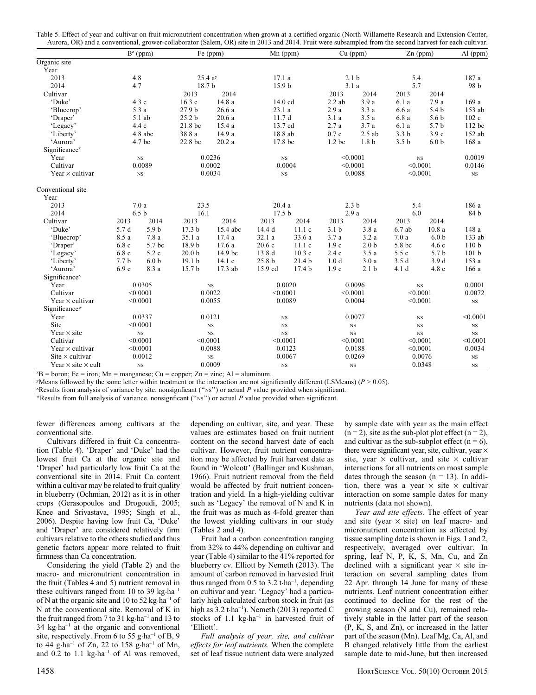| Table 5. Effect of year and cultivar on fruit micronutrient concentration when grown at a certified organic (North Willamette Research and Extension Center, |  |  |
|--------------------------------------------------------------------------------------------------------------------------------------------------------------|--|--|
| Aurora, OR) and a conventional, grower-collaborator (Salem, OR) site in 2013 and 2014. Fruit were subsampled from the second harvest for each cultivar.      |  |  |

|                                  |                  | $B^z$ (ppm)      |                    | Fe (ppm)    | Mn (ppm)           |                   |                   | $Cu$ (ppm)        |                  | $Zn$ (ppm)       | $Al$ (ppm)       |
|----------------------------------|------------------|------------------|--------------------|-------------|--------------------|-------------------|-------------------|-------------------|------------------|------------------|------------------|
| Organic site                     |                  |                  |                    |             |                    |                   |                   |                   |                  |                  |                  |
| Year                             |                  |                  |                    |             |                    |                   |                   |                   |                  |                  |                  |
| 2013                             | 4.8              |                  | 25.4a <sup>y</sup> |             | 17.1a              |                   | 2.1 <sub>b</sub>  |                   | 5.4              |                  | 187 a            |
| 2014                             | 4.7              |                  | 18.7 b             |             | 15.9 b             |                   |                   | 3.1a              | 5.7              |                  | 98 b             |
| Cultivar                         |                  |                  | 2013               | 2014        |                    |                   | 2013              | 2014              | 2013             | 2014             |                  |
| 'Duke'                           |                  | 4.3 c            | 16.3c              | 14.8 a      | 14.0 cd            |                   | $2.2$ ab          | 3.9a              | 6.1 a            | 7.9 a            | 169a             |
| 'Bluecrop'                       |                  | 5.3 a            | 27.9 <sub>b</sub>  | 26.6 a      | 23.1 a             |                   | 2.9a              | 3.3a              | 6.6a             | 5.4 <sub>b</sub> | 153 ab           |
| 'Draper'                         |                  | 5.1 ab           | 25.2 <sub>b</sub>  | 20.6a       | 11.7d              |                   | 3.1a              | 3.5a              | 6.8a             | 5.6 <sub>b</sub> | 102c             |
| 'Legacy'                         |                  | 4.4c             | 21.8 bc            | 15.4 a      | 13.7 cd            |                   | 2.7a              | 3.7a              | 6.1 a            | 5.7 b            | 112 bc           |
| 'Liberty'                        |                  | 4.8 abc          | 38.8 a             | 14.9 a      | 18.8 ab            |                   | 0.7c              | $2.5$ ab          | 3.3 <sub>b</sub> | 3.9c             | 152 ab           |
| 'Aurora'                         |                  | 4.7 bc           | 22.8 bc            | 20.2a       | 17.8 bc            |                   | 1.2 <sub>bc</sub> | 1.8 <sub>b</sub>  | 3.5 <sub>b</sub> | 6.0 <sub>b</sub> | 168 a            |
| Significance <sup>x</sup>        |                  |                  |                    |             |                    |                   |                   |                   |                  |                  |                  |
| Year                             |                  | $_{\rm NS}$      |                    | 0.0236      | $_{\rm NS}$        |                   |                   | < 0.0001          | <b>NS</b>        |                  | 0.0019           |
| Cultivar                         |                  | 0.0089           |                    | 0.0002      |                    | 0.0004            |                   | < 0.0001          | < 0.0001         |                  | 0.0146           |
| Year $\times$ cultivar           |                  | $_{\rm NS}$      |                    | 0.0034      | $_{\rm NS}$        |                   |                   | 0.0088            | < 0.0001         |                  | $_{\rm NS}$      |
| Conventional site                |                  |                  |                    |             |                    |                   |                   |                   |                  |                  |                  |
| Year                             |                  |                  |                    |             |                    |                   |                   |                   |                  |                  |                  |
| 2013                             |                  | 7.0a             | 23.5               |             | $20.4\ \mathrm{a}$ |                   |                   | 2.3 <sub>b</sub>  | 5.4              |                  | 186 a            |
| 2014                             |                  | 6.5 <sub>b</sub> | 16.1               |             | 17.5 <sub>b</sub>  |                   | 2.9a              |                   | 6.0              |                  | 84 b             |
| Cultivar                         | 2013             | 2014             | 2013               | 2014        | 2013               | 2014              | 2013              | 2014              | 2013             | 2014             |                  |
| 'Duke'                           | 5.7 d            | 5.9 <sub>b</sub> | 17.3 <sub>b</sub>  | 15.4 abc    | 14.4 d             | 11.1c             | 3.1 <sub>b</sub>  | 3.8a              | $6.7$ ab         | 10.8a            | 148 a            |
| 'Bluecrop'                       | 8.5 a            | 7.8 a            | 35.1 a             | 17.4 a      | 32.1 a             | 33.6 a            | 3.7a              | 3.2a              | 7.0a             | 6.0 <sub>b</sub> | 133 ab           |
| 'Draper'                         | 6.8c             | 5.7 bc           | 18.9 b             | 17.6 a      | 20.6c              | 11.1c             | 1.9c              | $2.0\ \mathrm{b}$ | 5.8 bc           | 4.6c             | 110 <sub>b</sub> |
| 'Legacy'                         | 6.8c             | 5.2 c            | 20.0 <sub>b</sub>  | 14.9 bc     | 13.8 d             | 10.3c             | 2.4c              | 3.5a              | 5.5c             | 5.7 <sub>b</sub> | 101 <sub>b</sub> |
| 'Liberty'                        | 7.7 <sub>b</sub> | 6.0 <sub>b</sub> | 19.1 <sub>b</sub>  | 14.1c       | 25.8 <sub>b</sub>  | 21.4 b            | 1.0 <sub>d</sub>  | 3.0a              | 3.5d             | 3.9d             | 153 a            |
| 'Aurora'                         | 6.9c             | 8.3 a            | 15.7 b             | 17.3 ab     | 15.9 cd            | 17.4 <sub>b</sub> | 1.9c              | 2.1 <sub>b</sub>  | 4.1 d            | 4.8 c            | 166 a            |
| Significance <sup>x</sup>        |                  |                  |                    |             |                    |                   |                   |                   |                  |                  |                  |
| Year                             |                  | 0.0305           |                    | $_{\rm NS}$ |                    | 0.0020            |                   | 0.0096            |                  | $_{\rm NS}$      | 0.0001           |
| Cultivar                         |                  | < 0.0001         |                    | 0.0022      | < 0.0001           |                   |                   | < 0.0001          |                  | < 0.0001         | 0.0072           |
| Year $\times$ cultivar           |                  | < 0.0001         |                    | 0.0055      |                    | 0.0089            |                   | 0.0004            |                  | < 0.0001         | $_{\rm NS}$      |
| Significance <sup>w</sup>        |                  |                  |                    |             |                    |                   |                   |                   |                  |                  |                  |
| Year                             |                  | 0.0337           |                    | 0.0121      | $_{\rm NS}$        |                   |                   | 0.0077            | $_{\rm NS}$      |                  | < 0.0001         |
| Site                             |                  | < 0.0001         |                    | $_{\rm NS}$ | $_{\rm NS}$        |                   |                   | $_{\rm NS}$       | $_{\rm NS}$      |                  | $_{\rm NS}$      |
| Year $\times$ site               |                  | $_{\rm NS}$      |                    | $_{\rm NS}$ | $_{\rm NS}$        |                   |                   | $_{\rm NS}$       | $_{\rm NS}$      |                  | $_{\rm NS}$      |
| Cultivar                         |                  | < 0.0001         | < 0.0001           |             | < 0.0001           |                   |                   | < 0.0001          | < 0.0001         |                  | < 0.0001         |
| Year $\times$ cultivar           |                  | < 0.0001         |                    | 0.0088      |                    | 0.0123            |                   | 0.0188            |                  | < 0.0001         | 0.0034           |
| Site $\times$ cultivar           |                  | 0.0012           |                    | $_{\rm NS}$ |                    | 0.0067            |                   | 0.0269            |                  | 0.0076           | $_{\rm NS}$      |
| Year $\times$ site $\times$ cult |                  | $_{\rm NS}$      |                    | 0.0009      | $_{\rm NS}$        |                   |                   | $_{\rm NS}$       |                  | 0.0348           | $_{\rm NS}$      |

 ${}^{z}B =$  boron; Fe = iron; Mn = manganese; Cu = copper; Zn = zinc; Al = aluminum.

 $y$ Means followed by the same letter within treatment or the interaction are not significantly different (LSMeans) ( $P > 0.05$ ).

x Results from analysis of variance by site. nonsignficant (''NS'') or actual P value provided when significant.

wResults from full analysis of variance. nonsignficant (''NS'') or actual P value provided when significant.

fewer differences among cultivars at the conventional site.

Cultivars differed in fruit Ca concentration (Table 4). 'Draper' and 'Duke' had the lowest fruit Ca at the organic site and 'Draper' had particularly low fruit Ca at the conventional site in 2014. Fruit Ca content within a cultivar may be related to fruit quality in blueberry (Ochmian, 2012) as it is in other crops (Gerasopoulos and Drogoudi, 2005; Knee and Srivastava, 1995; Singh et al., 2006). Despite having low fruit Ca, 'Duke' and 'Draper' are considered relatively firm cultivars relative to the others studied and thus genetic factors appear more related to fruit firmness than Ca concentration.

Considering the yield (Table 2) and the macro- and micronutrient concentration in the fruit (Tables 4 and 5) nutrient removal in these cultivars ranged from 10 to 39 kg·ha<sup>-1</sup> of N at the organic site and 10 to 52 kg·ha–1 of N at the conventional site. Removal of K in the fruit ranged from 7 to 31 kg·ha–1 and 13 to  $34 \text{ kg} \cdot \text{ha}^{-1}$  at the organic and conventional site, respectively. From 6 to 55 g $\cdot$ ha<sup>-1</sup> of B, 9 to 44 g·ha<sup>-1</sup> of Zn, 22 to 158 g·ha<sup>-1</sup> of Mn, and  $0.2$  to  $1.1$  kg $\cdot$ ha<sup>-1</sup> of Al was removed,

depending on cultivar, site, and year. These values are estimates based on fruit nutrient content on the second harvest date of each cultivar. However, fruit nutrient concentration may be affected by fruit harvest date as found in 'Wolcott' (Ballinger and Kushman, 1966). Fruit nutrient removal from the field would be affected by fruit nutrient concentration and yield. In a high-yielding cultivar such as 'Legacy' the removal of N and K in the fruit was as much as 4-fold greater than the lowest yielding cultivars in our study (Tables 2 and 4).

Fruit had a carbon concentration ranging from 32% to 44% depending on cultivar and year (Table 4) similar to the 41% reported for blueberry cv. Elliott by Nemeth (2013). The amount of carbon removed in harvested fruit thus ranged from 0.5 to 3.2 t $\cdot$ ha<sup>-1</sup>, depending on cultivar and year. 'Legacy' had a particularly high calculated carbon stock in fruit (as high as  $3.2$  t·ha<sup>-1</sup>). Nemeth (2013) reported C stocks of 1.1 kg·ha–1 in harvested fruit of 'Elliott'.

Full analysis of year, site, and cultivar effects for leaf nutrients. When the complete set of leaf tissue nutrient data were analyzed by sample date with year as the main effect  $(n = 2)$ , site as the sub-plot plot effect  $(n = 2)$ , and cultivar as the sub-subplot effect  $(n = 6)$ , there were significant year, site, cultivar, year  $\times$ site, year  $\times$  cultivar, and site  $\times$  cultivar interactions for all nutrients on most sample dates through the season  $(n = 13)$ . In addition, there was a year  $\times$  site  $\times$  cultivar interaction on some sample dates for many nutrients (data not shown).

Year and site effects. The effect of year and site (year  $\times$  site) on leaf macro- and micronutrient concentration as affected by tissue sampling date is shown in Figs. 1 and 2, respectively, averaged over cultivar. In spring, leaf N, P, K, S, Mn, Cu, and Zn declined with a significant year  $\times$  site interaction on several sampling dates from 22 Apr. through 14 June for many of these nutrients. Leaf nutrient concentration either continued to decline for the rest of the growing season (N and Cu), remained relatively stable in the latter part of the season (P, K, S, and Zn), or increased in the latter part of the season (Mn). Leaf Mg, Ca, Al, and B changed relatively little from the earliest sample date to mid-June, but then increased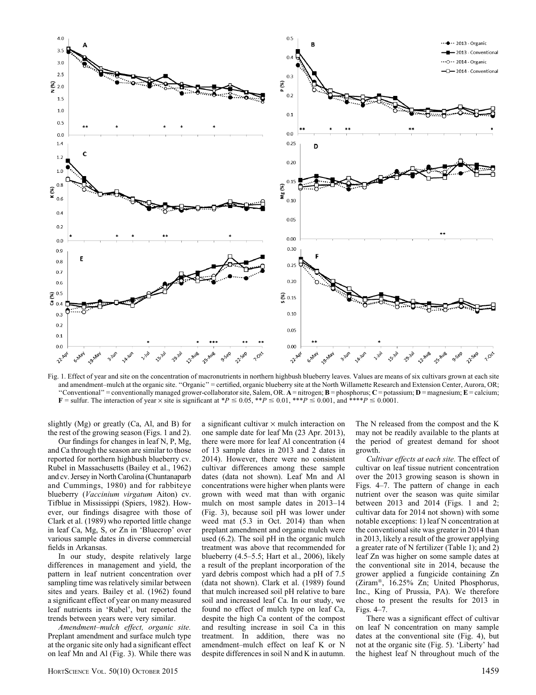

Fig. 1. Effect of year and site on the concentration of macronutrients in northern highbush blueberry leaves. Values are means of six cultivars grown at each site and amendment–mulch at the organic site. ''Organic'' = certified, organic blueberry site at the North Willamette Research and Extension Center, Aurora, OR; "Conventional" = conventionally managed grower-collaborator site, Salem, OR.  $A$  = nitrogen;  $B$  = phosphorus;  $C$  = potassium;  $D$  = magnesium;  $E$  = calcium;  $\mathbf{F} = \text{suffix.}$  The interaction of year  $\times$  site is significant at \*P  $\leq$  0.05, \*\*P  $\leq$  0.01, \*\*\*P  $\leq$  0.001, and \*\*\*\*P  $\leq$  0.0001.

slightly (Mg) or greatly (Ca, Al, and B) for the rest of the growing season (Figs. 1 and 2).

Our findings for changes in leaf N, P, Mg, and Ca through the season are similar to those reported for northern highbush blueberry cv. Rubel in Massachusetts (Bailey et al., 1962) and cv. Jersey in North Carolina (Chuntanaparb and Cummings, 1980) and for rabbiteye blueberry (Vaccinium virgatum Aiton) cv. Tifblue in Mississippi (Spiers, 1982). However, our findings disagree with those of Clark et al. (1989) who reported little change in leaf Ca, Mg, S, or Zn in 'Bluecrop' over various sample dates in diverse commercial fields in Arkansas.

In our study, despite relatively large differences in management and yield, the pattern in leaf nutrient concentration over sampling time was relatively similar between sites and years. Bailey et al. (1962) found a significant effect of year on many measured leaf nutrients in 'Rubel', but reported the trends between years were very similar.

Amendment–mulch effect, organic site. Preplant amendment and surface mulch type at the organic site only had a significant effect on leaf Mn and Al (Fig. 3). While there was

a significant cultivar  $\times$  mulch interaction on one sample date for leaf Mn (23 Apr. 2013), there were more for leaf Al concentration (4 of 13 sample dates in 2013 and 2 dates in 2014). However, there were no consistent cultivar differences among these sample dates (data not shown). Leaf Mn and Al concentrations were higher when plants were grown with weed mat than with organic mulch on most sample dates in 2013–14 (Fig. 3), because soil pH was lower under weed mat (5.3 in Oct. 2014) than when preplant amendment and organic mulch were used (6.2). The soil pH in the organic mulch treatment was above that recommended for blueberry (4.5–5.5; Hart et al., 2006), likely a result of the preplant incorporation of the yard debris compost which had a pH of 7.5 (data not shown). Clark et al. (1989) found that mulch increased soil pH relative to bare soil and increased leaf Ca. In our study, we found no effect of mulch type on leaf Ca, despite the high Ca content of the compost and resulting increase in soil Ca in this treatment. In addition, there was no amendment–mulch effect on leaf K or N despite differences in soil N and K in autumn.

The N released from the compost and the K may not be readily available to the plants at the period of greatest demand for shoot growth.

Cultivar effects at each site. The effect of cultivar on leaf tissue nutrient concentration over the 2013 growing season is shown in Figs. 4–7. The pattern of change in each nutrient over the season was quite similar between 2013 and 2014 (Figs. 1 and 2; cultivar data for 2014 not shown) with some notable exceptions: 1) leaf N concentration at the conventional site was greater in 2014 than in 2013, likely a result of the grower applying a greater rate of N fertilizer (Table 1); and 2) leaf Zn was higher on some sample dates at the conventional site in 2014, because the grower applied a fungicide containing Zn (Ziram®, 16.25% Zn; United Phosphorus, Inc., King of Prussia, PA). We therefore chose to present the results for 2013 in Figs. 4–7.

There was a significant effect of cultivar on leaf N concentration on many sample dates at the conventional site (Fig. 4), but not at the organic site (Fig. 5). 'Liberty' had the highest leaf N throughout much of the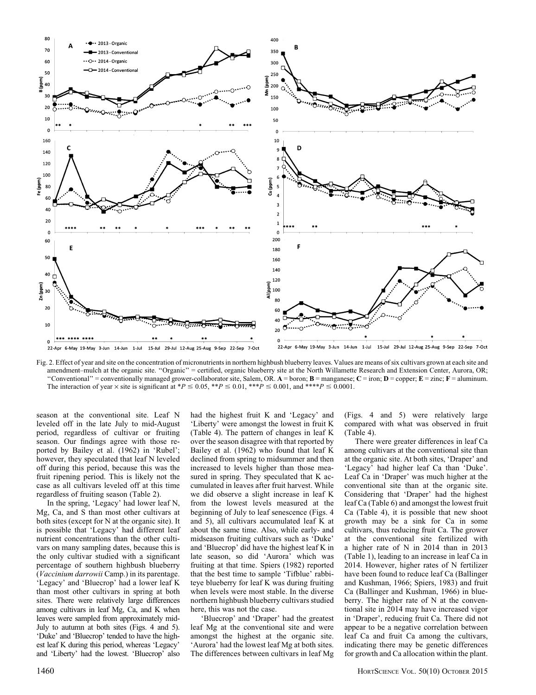

Fig. 2. Effect of year and site on the concentration of micronutrients in northern highbush blueberry leaves. Values are means of six cultivars grown at each site and amendment–mulch at the organic site. "Organic" = certified, organic blueberry site at the North Willamette Research and Extension Center, Aurora, OR; "Conventional" = conventionally managed grower-collaborator site, Salem, OR.  $A =$  boron;  $B =$  manganese;  $C =$  iron;  $D =$  copper;  $E =$  zinc;  $F =$  aluminum. The interaction of year  $\times$  site is significant at \*P  $\leq$  0.05, \*\*P  $\leq$  0.01, \*\*\*P  $\leq$  0.001, and \*\*\*\*P  $\leq$  0.0001.

season at the conventional site. Leaf N leveled off in the late July to mid-August period, regardless of cultivar or fruiting season. Our findings agree with those reported by Bailey et al. (1962) in 'Rubel'; however, they speculated that leaf N leveled off during this period, because this was the fruit ripening period. This is likely not the case as all cultivars leveled off at this time regardless of fruiting season (Table 2).

In the spring, 'Legacy' had lower leaf N, Mg, Ca, and S than most other cultivars at both sites (except for N at the organic site). It is possible that 'Legacy' had different leaf nutrient concentrations than the other cultivars on many sampling dates, because this is the only cultivar studied with a significant percentage of southern highbush blueberry (Vaccinium darrowii Camp.) in its parentage. 'Legacy' and 'Bluecrop' had a lower leaf K than most other cultivars in spring at both sites. There were relatively large differences among cultivars in leaf Mg, Ca, and K when leaves were sampled from approximately mid-July to autumn at both sites (Figs. 4 and 5). 'Duke' and 'Bluecrop' tended to have the highest leaf K during this period, whereas 'Legacy' and 'Liberty' had the lowest. 'Bluecrop' also

had the highest fruit K and 'Legacy' and 'Liberty' were amongst the lowest in fruit K (Table 4). The pattern of changes in leaf K over the season disagree with that reported by Bailey et al. (1962) who found that leaf K declined from spring to midsummer and then increased to levels higher than those measured in spring. They speculated that K accumulated in leaves after fruit harvest. While we did observe a slight increase in leaf K from the lowest levels measured at the beginning of July to leaf senescence (Figs. 4 and 5), all cultivars accumulated leaf K at about the same time. Also, while early- and midseason fruiting cultivars such as 'Duke' and 'Bluecrop' did have the highest leaf K in late season, so did 'Aurora' which was fruiting at that time. Spiers (1982) reported that the best time to sample 'Tifblue' rabbiteye blueberry for leaf K was during fruiting when levels were most stable. In the diverse northern highbush blueberry cultivars studied here, this was not the case.

'Bluecrop' and 'Draper' had the greatest leaf Mg at the conventional site and were amongst the highest at the organic site. 'Aurora' had the lowest leaf Mg at both sites. The differences between cultivars in leaf Mg (Figs. 4 and 5) were relatively large compared with what was observed in fruit (Table 4).

There were greater differences in leaf Ca among cultivars at the conventional site than at the organic site. At both sites, 'Draper' and 'Legacy' had higher leaf Ca than 'Duke'. Leaf Ca in 'Draper' was much higher at the conventional site than at the organic site. Considering that 'Draper' had the highest leaf Ca (Table 6) and amongst the lowest fruit Ca (Table 4), it is possible that new shoot growth may be a sink for Ca in some cultivars, thus reducing fruit Ca. The grower at the conventional site fertilized with a higher rate of N in 2014 than in 2013 (Table 1), leading to an increase in leaf Ca in 2014. However, higher rates of N fertilizer have been found to reduce leaf Ca (Ballinger and Kushman, 1966; Spiers, 1983) and fruit Ca (Ballinger and Kushman, 1966) in blueberry. The higher rate of N at the conventional site in 2014 may have increased vigor in 'Draper', reducing fruit Ca. There did not appear to be a negative correlation between leaf Ca and fruit Ca among the cultivars, indicating there may be genetic differences for growth and Ca allocation within the plant.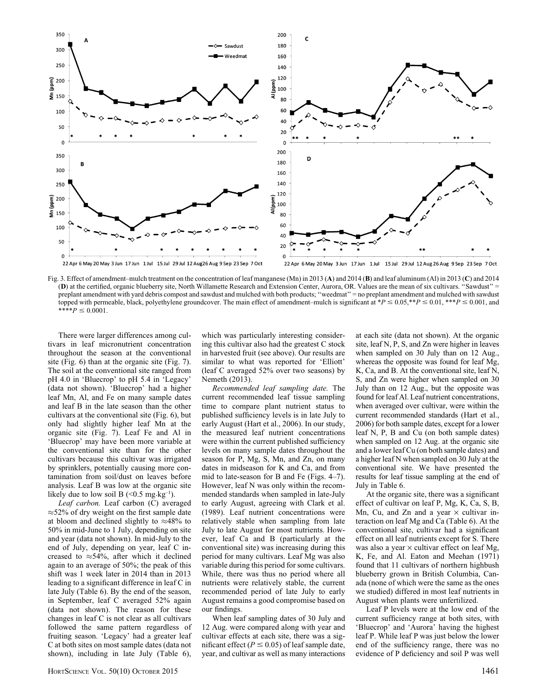

Fig. 3. Effect of amendment–mulch treatment on the concentration of leaf manganese (Mn) in 2013 (A) and 2014 (B) and leaf aluminum (Al) in 2013 (C) and 2014 (D) at the certified, organic blueberry site, North Willamette Research and Extension Center, Aurora, OR. Values are the mean of six cultivars. ''Sawdust'' = preplant amendment with yard debris compost and sawdust and mulched with both products; ''weedmat'' = no preplant amendment and mulched with sawdust topped with permeable, black, polyethylene groundcover. The main effect of amendment–mulch is significant at  $*P \le 0.05, **P \le 0.01, **P \le 0.001$ , and  $*^*P \leq 0.0001.$ 

There were larger differences among cultivars in leaf micronutrient concentration throughout the season at the conventional site (Fig. 6) than at the organic site (Fig. 7). The soil at the conventional site ranged from pH 4.0 in 'Bluecrop' to pH 5.4 in 'Legacy' (data not shown). 'Bluecrop' had a higher leaf Mn, Al, and Fe on many sample dates and leaf B in the late season than the other cultivars at the conventional site (Fig. 6), but only had slightly higher leaf Mn at the organic site (Fig. 7). Leaf Fe and Al in 'Bluecrop' may have been more variable at the conventional site than for the other cultivars because this cultivar was irrigated by sprinklers, potentially causing more contamination from soil/dust on leaves before analysis. Leaf B was low at the organic site likely due to low soil B  $(< 0.5$  mg·kg<sup>-1</sup>).

Leaf carbon. Leaf carbon (C) averaged  $\approx$  52% of dry weight on the first sample date at bloom and declined slightly to  $\approx 48\%$  to 50% in mid-June to 1 July, depending on site and year (data not shown). In mid-July to the end of July, depending on year, leaf C increased to  $\approx$  54%, after which it declined again to an average of 50%; the peak of this shift was 1 week later in 2014 than in 2013 leading to a significant difference in leaf C in late July (Table 6). By the end of the season, in September, leaf C averaged 52% again (data not shown). The reason for these changes in leaf C is not clear as all cultivars followed the same pattern regardless of fruiting season. 'Legacy' had a greater leaf C at both sites on most sample dates (data not shown), including in late July (Table 6),

which was particularly interesting considering this cultivar also had the greatest C stock in harvested fruit (see above). Our results are similar to what was reported for 'Elliott' (leaf C averaged 52% over two seasons) by Nemeth (2013).

Recommended leaf sampling date. The current recommended leaf tissue sampling time to compare plant nutrient status to published sufficiency levels is in late July to early August (Hart et al., 2006). In our study, the measured leaf nutrient concentrations were within the current published sufficiency levels on many sample dates throughout the season for P, Mg, S, Mn, and Zn, on many dates in midseason for K and Ca, and from mid to late-season for B and Fe (Figs. 4–7). However, leaf N was only within the recommended standards when sampled in late-July to early August, agreeing with Clark et al. (1989). Leaf nutrient concentrations were relatively stable when sampling from late July to late August for most nutrients. However, leaf Ca and B (particularly at the conventional site) was increasing during this period for many cultivars. Leaf Mg was also variable during this period for some cultivars. While, there was thus no period where all nutrients were relatively stable, the current recommended period of late July to early August remains a good compromise based on our findings.

When leaf sampling dates of 30 July and 12 Aug. were compared along with year and cultivar effects at each site, there was a significant effect ( $P \le 0.05$ ) of leaf sample date, year, and cultivar as well as many interactions at each site (data not shown). At the organic site, leaf N, P, S, and Zn were higher in leaves when sampled on 30 July than on 12 Aug., whereas the opposite was found for leaf Mg, K, Ca, and B. At the conventional site, leaf N, S, and Zn were higher when sampled on 30 July than on 12 Aug., but the opposite was found for leaf Al. Leaf nutrient concentrations, when averaged over cultivar, were within the current recommended standards (Hart et al., 2006) for both sample dates, except for a lower leaf N, P, B and Cu (on both sample dates) when sampled on 12 Aug. at the organic site and a lower leaf Cu (on both sample dates) and a higher leaf N when sampled on 30 July at the conventional site. We have presented the results for leaf tissue sampling at the end of July in Table 6.

At the organic site, there was a significant effect of cultivar on leaf P, Mg, K, Ca, S, B, Mn, Cu, and Zn and a year  $\times$  cultivar interaction on leaf Mg and Ca (Table 6). At the conventional site, cultivar had a significant effect on all leaf nutrients except for S. There was also a year  $\times$  cultivar effect on leaf Mg, K, Fe, and Al. Eaton and Meehan (1971) found that 11 cultivars of northern highbush blueberry grown in British Columbia, Canada (none of which were the same as the ones we studied) differed in most leaf nutrients in August when plants were unfertilized.

Leaf P levels were at the low end of the current sufficiency range at both sites, with 'Bluecrop' and 'Aurora' having the highest leaf P. While leaf P was just below the lower end of the sufficiency range, there was no evidence of P deficiency and soil P was well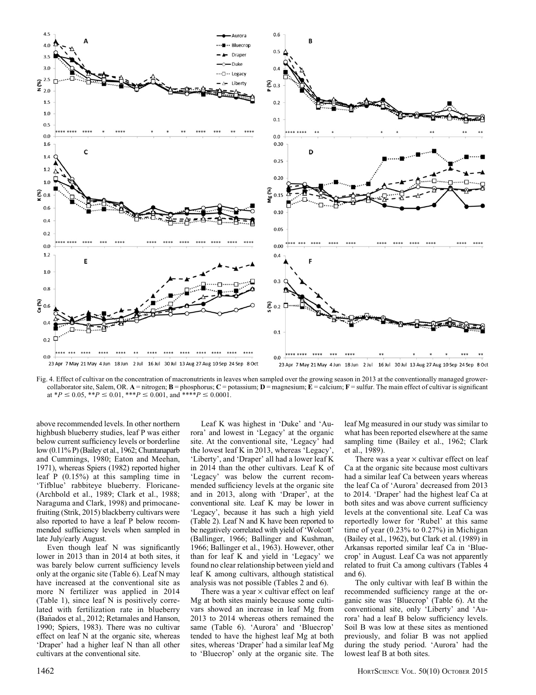

Fig. 4. Effect of cultivar on the concentration of macronutrients in leaves when sampled over the growing season in 2013 at the conventionally managed growercollaborator site, Salem, OR. A = nitrogen;  $B$  = phosphorus;  $C$  = potassium;  $D$  = magnesium;  $\overline{E}$  = calcium;  $F$  = sulfur. The main effect of cultivar is significant at \* $P \le 0.05$ , \*\* $P \le 0.01$ , \*\*\* $P \le 0.001$ , and \*\*\*\* $P \le 0.0001$ .

above recommended levels. In other northern highbush blueberry studies, leaf P was either below current sufficiency levels or borderline low (0.11% P) (Bailey et al., 1962; Chuntanaparb and Cummings, 1980; Eaton and Meehan, 1971), whereas Spiers (1982) reported higher leaf P (0.15%) at this sampling time in 'Tifblue' rabbiteye blueberry. Floricane- (Archbold et al., 1989; Clark et al., 1988; Naraguma and Clark, 1998) and primocanefruiting (Strik, 2015) blackberry cultivars were also reported to have a leaf P below recommended sufficiency levels when sampled in late July/early August.

Even though leaf N was significantly lower in 2013 than in 2014 at both sites, it was barely below current sufficiency levels only at the organic site (Table 6). Leaf N may have increased at the conventional site as more N fertilizer was applied in 2014 (Table 1), since leaf N is positively correlated with fertilization rate in blueberry (Bañados et al., 2012; Retamales and Hanson, 1990; Spiers, 1983). There was no cultivar effect on leaf N at the organic site, whereas 'Draper' had a higher leaf N than all other cultivars at the conventional site.

Leaf K was highest in 'Duke' and 'Aurora' and lowest in 'Legacy' at the organic site. At the conventional site, 'Legacy' had the lowest leaf K in 2013, whereas 'Legacy', 'Liberty', and 'Draper' all had a lower leaf K in 2014 than the other cultivars. Leaf K of 'Legacy' was below the current recommended sufficiency levels at the organic site and in 2013, along with 'Draper', at the conventional site. Leaf K may be lower in 'Legacy', because it has such a high yield (Table 2). Leaf N and K have been reported to be negatively correlated with yield of 'Wolcott' (Ballinger, 1966; Ballinger and Kushman, 1966; Ballinger et al., 1963). However, other than for leaf K and yield in 'Legacy' we found no clear relationship between yield and leaf K among cultivars, although statistical analysis was not possible (Tables 2 and 6).

There was a year  $\times$  cultivar effect on leaf Mg at both sites mainly because some cultivars showed an increase in leaf Mg from 2013 to 2014 whereas others remained the same (Table 6). 'Aurora' and 'Bluecrop' tended to have the highest leaf Mg at both sites, whereas 'Draper' had a similar leaf Mg to 'Bluecrop' only at the organic site. The

leaf Mg measured in our study was similar to what has been reported elsewhere at the same sampling time (Bailey et al., 1962; Clark et al., 1989).

There was a year  $\times$  cultivar effect on leaf Ca at the organic site because most cultivars had a similar leaf Ca between years whereas the leaf Ca of 'Aurora' decreased from 2013 to 2014. 'Draper' had the highest leaf Ca at both sites and was above current sufficiency levels at the conventional site. Leaf Ca was reportedly lower for 'Rubel' at this same time of year (0.23% to 0.27%) in Michigan (Bailey et al., 1962), but Clark et al. (1989) in Arkansas reported similar leaf Ca in 'Bluecrop' in August. Leaf Ca was not apparently related to fruit Ca among cultivars (Tables 4 and 6).

The only cultivar with leaf B within the recommended sufficiency range at the organic site was 'Bluecrop' (Table 6). At the conventional site, only 'Liberty' and 'Aurora' had a leaf B below sufficiency levels. Soil B was low at these sites as mentioned previously, and foliar B was not applied during the study period. 'Aurora' had the lowest leaf B at both sites.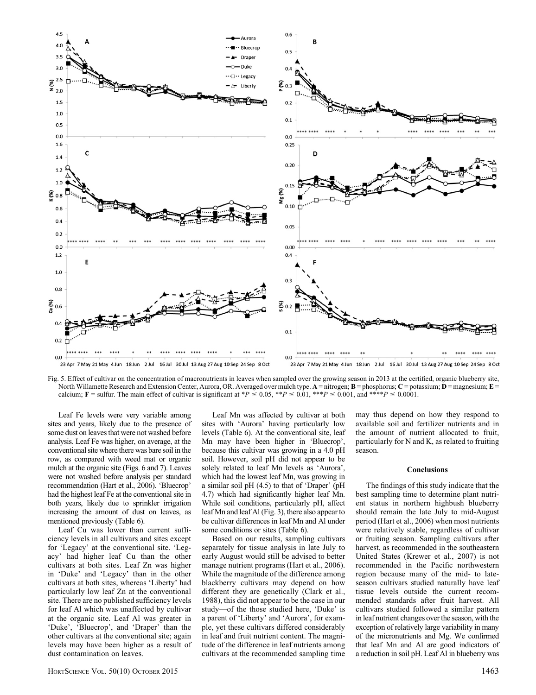

Fig. 5. Effect of cultivar on the concentration of macronutrients in leaves when sampled over the growing season in 2013 at the certified, organic blueberry site, North Willamette Research and Extension Center, Aurora, OR. Averaged over mulch type.  $A = nitrogen$ ;  $B = phosphorus$ ;  $C = potassium$ ;  $D = magnesium$ ;  $E = optasm$ calcium; F = sulfur. The main effect of cultivar is significant at \*P  $\leq$  0.05, \*\*P  $\leq$  0.01, \*\*\*P  $\leq$  0.001, and \*\*\*\*P  $\leq$  0.0001.

Leaf Fe levels were very variable among sites and years, likely due to the presence of some dust on leaves that were not washed before analysis. Leaf Fe was higher, on average, at the conventional site where there was bare soil in the row, as compared with weed mat or organic mulch at the organic site (Figs. 6 and 7). Leaves were not washed before analysis per standard recommendation (Hart et al., 2006). 'Bluecrop' had the highest leaf Fe at the conventional site in both years, likely due to sprinkler irrigation increasing the amount of dust on leaves, as mentioned previously (Table 6).

Leaf Cu was lower than current sufficiency levels in all cultivars and sites except for 'Legacy' at the conventional site. 'Legacy' had higher leaf Cu than the other cultivars at both sites. Leaf Zn was higher in 'Duke' and 'Legacy' than in the other cultivars at both sites, whereas 'Liberty' had particularly low leaf Zn at the conventional site. There are no published sufficiency levels for leaf Al which was unaffected by cultivar at the organic site. Leaf Al was greater in 'Duke', 'Bluecrop', and 'Draper' than the other cultivars at the conventional site; again levels may have been higher as a result of dust contamination on leaves.

Leaf Mn was affected by cultivar at both sites with 'Aurora' having particularly low levels (Table 6). At the conventional site, leaf Mn may have been higher in 'Bluecrop', because this cultivar was growing in a 4.0 pH soil. However, soil pH did not appear to be solely related to leaf Mn levels as 'Aurora', which had the lowest leaf Mn, was growing in a similar soil pH (4.5) to that of 'Draper' (pH 4.7) which had significantly higher leaf Mn. While soil conditions, particularly pH, affect leaf Mn and leaf Al (Fig. 3), there also appear to be cultivar differences in leaf Mn and Al under some conditions or sites (Table 6).

Based on our results, sampling cultivars separately for tissue analysis in late July to early August would still be advised to better manage nutrient programs (Hart et al., 2006). While the magnitude of the difference among blackberry cultivars may depend on how different they are genetically (Clark et al., 1988), this did not appear to be the case in our study—of the those studied here, 'Duke' is a parent of 'Liberty' and 'Aurora', for example, yet these cultivars differed considerably in leaf and fruit nutrient content. The magnitude of the difference in leaf nutrients among cultivars at the recommended sampling time may thus depend on how they respond to available soil and fertilizer nutrients and in the amount of nutrient allocated to fruit, particularly for N and K, as related to fruiting season.

#### Conclusions

The findings of this study indicate that the best sampling time to determine plant nutrient status in northern highbush blueberry should remain the late July to mid-August period (Hart et al., 2006) when most nutrients were relatively stable, regardless of cultivar or fruiting season. Sampling cultivars after harvest, as recommended in the southeastern United States (Krewer et al., 2007) is not recommended in the Pacific northwestern region because many of the mid- to lateseason cultivars studied naturally have leaf tissue levels outside the current recommended standards after fruit harvest. All cultivars studied followed a similar pattern in leaf nutrient changes over the season, with the exception of relatively large variability in many of the micronutrients and Mg. We confirmed that leaf Mn and Al are good indicators of a reduction in soil pH. Leaf Al in blueberry was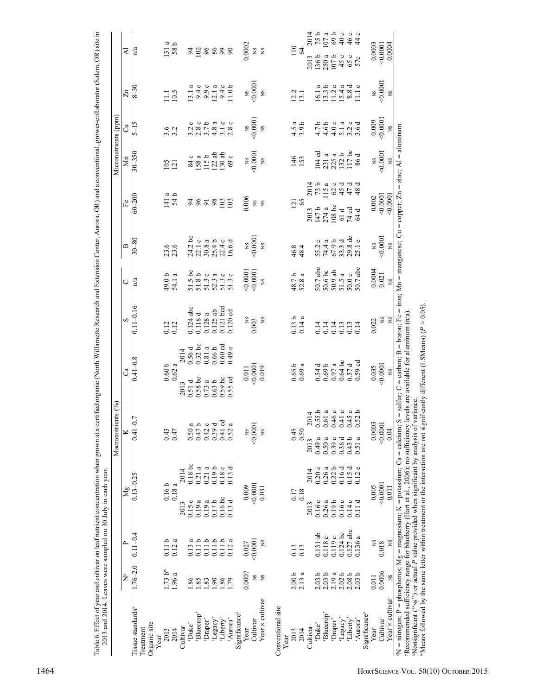|                                                                                                                                                                                                                                                                                                                                                                                                   |                          |                   |                   |                   | Macronutrients (%)             |                                                                                                                                                                                                                                               |                     |                                             |                       |                     |                     |                | Micronutrients (ppm) |                                                  |                        |                             |
|---------------------------------------------------------------------------------------------------------------------------------------------------------------------------------------------------------------------------------------------------------------------------------------------------------------------------------------------------------------------------------------------------|--------------------------|-------------------|-------------------|-------------------|--------------------------------|-----------------------------------------------------------------------------------------------------------------------------------------------------------------------------------------------------------------------------------------------|---------------------|---------------------------------------------|-----------------------|---------------------|---------------------|----------------|----------------------|--------------------------------------------------|------------------------|-----------------------------|
|                                                                                                                                                                                                                                                                                                                                                                                                   | $\sum_{\alpha}^{\infty}$ | $\sim$            | Mg                |                   | ×                              | ී                                                                                                                                                                                                                                             |                     | S                                           | ◡                     | $\mathbf{m}$        | $_{\rm Fe}$         |                | $\sum_{i=1}^{n}$     | ්                                                | $\mathbb{Z}^n$         | ₹                           |
| l'issue standards <sup>3</sup><br>Organic site<br>Treatment                                                                                                                                                                                                                                                                                                                                       | $1.76 - 2.0$             | $0.11 - 0.4$      |                   | $0.13 - 0.25$     | $0.41 - 0.7$                   | $0.41 - 0.8$                                                                                                                                                                                                                                  |                     | $0.11 - 0.16$                               | n/a                   | $30 - 80$           | $60 - 200$          |                | $30 - 350$           | $5 - 15$                                         | $8 - 30$               | n/a                         |
| Year                                                                                                                                                                                                                                                                                                                                                                                              |                          |                   |                   |                   |                                |                                                                                                                                                                                                                                               |                     |                                             |                       |                     |                     |                |                      |                                                  |                        |                             |
| 2013                                                                                                                                                                                                                                                                                                                                                                                              | 1.73 b <sup>w</sup>      | 0.11 <sub>b</sub> | 0.16b             |                   | 0.43                           | 0.60 <sub>b</sub>                                                                                                                                                                                                                             |                     |                                             | 49.0b                 | 23.6                | $141a$<br>54 b      |                | $105$<br>$121$       |                                                  | 11.1                   | $\frac{131}{58}$ b          |
| 2014                                                                                                                                                                                                                                                                                                                                                                                              | 1.96 a                   | 0.12a             | 0.18a             |                   | 0.47                           | $0.62~\rm{a}$                                                                                                                                                                                                                                 |                     | $\begin{array}{c} 0.12 \\ 0.12 \end{array}$ | 54.1 a                |                     |                     |                |                      | $3.\overline{2}$                                 | 10.5                   |                             |
| Cultivar                                                                                                                                                                                                                                                                                                                                                                                          |                          |                   | 2013              | 2014              |                                | 2013                                                                                                                                                                                                                                          | 2014                |                                             |                       |                     |                     |                |                      |                                                  |                        |                             |
| 'Duke'                                                                                                                                                                                                                                                                                                                                                                                            | 1.86                     | a<br>0.13         | 0.15c             | 0.18bc            | 0.50                           | 0.51d                                                                                                                                                                                                                                         | 0.56d               | $0.124$ abc                                 | $51.5$ bc<br>$51.8$ b |                     |                     |                |                      | $\circ$                                          | ದ                      |                             |
| 'Bluecrop'                                                                                                                                                                                                                                                                                                                                                                                        | 1.85                     | 0.11b             | 0.19a             | 0.21a             | $\alpha$ .<br>$\alpha$<br>0.47 | $0.58\,\mathrm{\,bc}$                                                                                                                                                                                                                         | $0.32$ bc           | ರ<br>0.118                                  |                       | $24.2$ bc<br>22.1 c | 2822                |                | $\frac{84}{158}$ a   | $\circ$<br>$3.\overline{2}$<br>2.8               | $\circ$<br>13.1        |                             |
| 'Draper'                                                                                                                                                                                                                                                                                                                                                                                          | 1.83                     | 0.11 b            | 0.19a             | 0.21a             | 0.42                           | 0.73a                                                                                                                                                                                                                                         | $0.81\ a$           | $\epsilon$<br>0.128                         | 51.3c                 |                     |                     |                | 115b                 |                                                  | $\circ$<br>9.9         |                             |
| 'Legacy'                                                                                                                                                                                                                                                                                                                                                                                          | 1.90                     | 0.11 b            | 0.17b             | 0.19 <sub>b</sub> | ಂ ಕ ಕ<br>0.39                  | 0.63b                                                                                                                                                                                                                                         | 0.66b               | $0.125$ ab                                  | a<br>52.3             | $30.8a$<br>$25.4b$  |                     |                | $122$ ab             | $3.7 b$<br>4.8 a                                 | $\mathfrak{a}$<br>12.1 |                             |
| 'Liberty'                                                                                                                                                                                                                                                                                                                                                                                         | 1.86                     | 0.11 b            | $0.16bc$          | 0.18c             | 0.41                           | $0.59~\rm{bc}$                                                                                                                                                                                                                                | $0.60\;\mathrm{cd}$ | $0.121$ bcd                                 | 51.3c                 |                     | 103                 |                | 130ab                | 3.1c                                             |                        |                             |
| 'Aurora'                                                                                                                                                                                                                                                                                                                                                                                          | 1.79                     | 0.12a             | 0.13d             | 0.13d             | $\mathfrak{a}$<br>0.52         | $0.55$ cd                                                                                                                                                                                                                                     | 0.49e               | 0.120cd                                     | 51.3c                 | $22.4 c$<br>16.6 d  | 103                 |                | $\circ$<br>69        | $\circ$<br>2.8                                   | $9.4c$<br>11.0b        | 328888                      |
| Significance <sup>x</sup>                                                                                                                                                                                                                                                                                                                                                                         |                          |                   |                   |                   |                                |                                                                                                                                                                                                                                               |                     |                                             |                       |                     |                     |                |                      |                                                  |                        |                             |
| Year                                                                                                                                                                                                                                                                                                                                                                                              | 0.0007                   | 0.027             | 0.009             |                   | 2                              | $0.011\,$                                                                                                                                                                                                                                     |                     | SN                                          | 0.0001                | XS                  | 0.006               |                | XS                   | SN                                               | XS                     | 0.0002                      |
| Cultivar                                                                                                                                                                                                                                                                                                                                                                                          | <b>S</b>                 | 0.0001            | 0.0001            |                   | 0.0001                         | 0.0001                                                                                                                                                                                                                                        |                     | 0.003                                       | 0.0001                | 0.0001              | XS                  |                | 0.0001               | 0.0001                                           | $-0.0001$              | XS                          |
| Year x cultivar                                                                                                                                                                                                                                                                                                                                                                                   | SN                       | X                 | 0.031             |                   | $_{\rm NS}$                    | 0.019                                                                                                                                                                                                                                         |                     | $_{\rm NS}$                                 | SN                    | SN                  | SN                  |                | XS                   | SN                                               | XS                     | XS                          |
| Conventional site                                                                                                                                                                                                                                                                                                                                                                                 |                          |                   |                   |                   |                                |                                                                                                                                                                                                                                               |                     |                                             |                       |                     |                     |                |                      |                                                  |                        |                             |
| Year                                                                                                                                                                                                                                                                                                                                                                                              |                          |                   |                   |                   |                                |                                                                                                                                                                                                                                               |                     |                                             |                       |                     |                     |                |                      |                                                  |                        |                             |
| 2013                                                                                                                                                                                                                                                                                                                                                                                              | 2.00 <sub>b</sub>        | 0.13              | 0.17              |                   | 0.45                           | 0.65b                                                                                                                                                                                                                                         |                     | 0.13 <sub>b</sub>                           | 48.7b                 | 46.8                | 121                 |                | 146                  | a<br>$\frac{4.5}{3.9}$                           | 12.2                   | 110                         |
| 2014                                                                                                                                                                                                                                                                                                                                                                                              | 2.13a                    | 0.13              | 0.18              |                   | 0.50                           | $0.69\,\mathrm{a}$                                                                                                                                                                                                                            |                     | 0.14a                                       | 52.8a                 | 48.4                | 65                  |                | 153                  | م                                                | 13.1                   | 64                          |
| Cultivar                                                                                                                                                                                                                                                                                                                                                                                          |                          |                   | 2013              | 2014              | 2014<br>2013                   |                                                                                                                                                                                                                                               |                     |                                             |                       |                     | 2013                | 2014           |                      |                                                  |                        | 2014<br>2013                |
| 'Duke'                                                                                                                                                                                                                                                                                                                                                                                            | 2.03 <sub>b</sub>        | $0.131$ ab        | 0.16c             | 0.20c             | 0.55b<br>0.49a                 | 0.54d                                                                                                                                                                                                                                         |                     | 0.14                                        | 50.7 abc              | $\circ$<br>55.2     | 147b                | $73b$<br>115 a | $104$ cd             | $4.7b$<br>4.6 b                                  | 16.1                   | 136b                        |
| Bluecrop'                                                                                                                                                                                                                                                                                                                                                                                         | 2.03 <sub>b</sub>        | 0.118 c           | 0.26a             | 0.26a             | 0.61a<br>0.50a                 | $0.69 b$                                                                                                                                                                                                                                      |                     | 0.14                                        | 50.6 bc               | $\epsilon$<br>74.4  | 274a                |                | 231 a                |                                                  | പ്പ<br>13.3            | 75 b<br>107 a<br>250a       |
| 'Draper'                                                                                                                                                                                                                                                                                                                                                                                          | 2.19a                    | 0.119c            | 0.19 <sub>b</sub> | 0.22 <sub>b</sub> | 0.46c<br>0.39c                 | $0.97$ a                                                                                                                                                                                                                                      |                     | 0.14                                        | 50.9ab                | 67.9 b              | 108bc               |                | 225a                 |                                                  | $\circ$<br>11.2        | 69b<br>107b                 |
| 'Legacy'                                                                                                                                                                                                                                                                                                                                                                                          | 2.02 <sub>b</sub>        | $0.124$ bc        | 0.16c             | 0.16d             | 0.41c<br>0.36d                 | $0.64\,\mathrm{bc}$                                                                                                                                                                                                                           |                     | 0.13                                        | 51.5a                 | 33.3 d              | 61 d                | $047$<br>$047$ | 132b                 | $0 a 0 d$<br>$0 a 0 d$<br>$0 a 0 d$<br>$0 a 0 d$ | ದ<br>$15.4$<br>8.8     | $\circ \circ \circ$<br>45 c |
| 'Liberty'                                                                                                                                                                                                                                                                                                                                                                                         | $2.08\,\mathrm{\,b}$     | $0.127$ abc       | 0.14c             | 0.15d             | 0.43 b                         | 0.57d                                                                                                                                                                                                                                         |                     | 0.13                                        | 50.0c                 | $29.8~\mathrm{de}$  | $74$ cd             |                | $117$ bc             |                                                  | ರ                      | 3.34<br>65 c                |
| 'Aurora'                                                                                                                                                                                                                                                                                                                                                                                          | 2.03 <sub>b</sub>        | 0.136a            | 0.11d             | $\circ$<br>0.12   | $0.45c$<br>$0.52b$<br>0.51a    | $0.59$ cd                                                                                                                                                                                                                                     |                     | 0.14                                        | 50.7 abc              | 25.1 e              | ರ<br>$\overline{a}$ | ರ<br>48        | 86 d                 |                                                  | $\circ$<br>$\Xi$       | 57c                         |
| Significance <sup>x</sup>                                                                                                                                                                                                                                                                                                                                                                         |                          |                   |                   |                   |                                |                                                                                                                                                                                                                                               |                     |                                             |                       |                     |                     |                |                      |                                                  |                        |                             |
| Year                                                                                                                                                                                                                                                                                                                                                                                              | 0.011                    | Ž                 | 0.005             |                   | $0.0003$<br><0.0001            | 0.035                                                                                                                                                                                                                                         |                     | 0.022                                       | 0.0004                | ΧS                  | 0.002               |                | ΧS                   | 0.009                                            | XS                     | 0.0003                      |
| Cultivar                                                                                                                                                                                                                                                                                                                                                                                          | 0.0006                   | 0.018             | $-0.0001$         |                   |                                | 50,0001                                                                                                                                                                                                                                       |                     | XS                                          | 0.021                 | 0001                | 0.0001              |                | 0001                 | 0000000                                          | 0.0001                 | 00001                       |
| Year × cultivar                                                                                                                                                                                                                                                                                                                                                                                   | SN                       | SN                | 0.011             |                   | 0.04                           | S                                                                                                                                                                                                                                             |                     | $_{\rm NS}$                                 | SN                    | SN                  | 0.0001              |                | XS                   | Ž                                                | SN                     | 0.0004                      |
| 'Recommended sufficiency range for blueberry (Hart et al., 2006); no sufficiency levels are available for aluminum (n/a)<br>"Nonsignficant ("NS") or actual P value provided when significant by analysis of variance.<br>${}^{2}N$ = nitrogen; P = phosphorus; Mg = magnesium; K = potassium; Ca = calcium;<br>"Means followed by the same letter within treatment or the interaction are not si |                          |                   |                   |                   |                                | $S = \text{suffix}$ ; $C = \text{carbon}$ ; $B = \text{born}$ ; $Fe = \text{iron}$ ; $Mn = \text{marg}\text{aness}$ ; $Cu = \text{copper}$ ; $Zn = \text{zinc}$ ; $A1 = \text{aluminum}$ .<br>gnificantly different (LSMeans) ( $P > 0.05$ ). |                     |                                             |                       |                     |                     |                |                      |                                                  |                        |                             |
|                                                                                                                                                                                                                                                                                                                                                                                                   |                          |                   |                   |                   |                                |                                                                                                                                                                                                                                               |                     |                                             |                       |                     |                     |                |                      |                                                  |                        |                             |

1464 HORTSCIENCE VOL. 50(10) OCTOBER 2015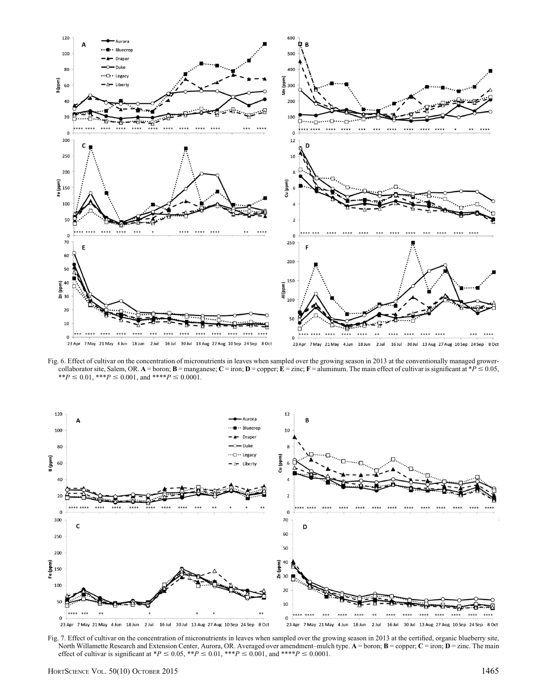

Fig. 6. Effect of cultivar on the concentration of micronutrients in leaves when sampled over the growing season in 2013 at the conventionally managed growercollaborator site, Salem, OR. A = boron; **B** = manganese; **C** = iron; **D** = copper; **E** = zinc; **F** = aluminum. The main effect of cultivar is significant at \*P  $\leq$  0.05, \*\* $P \le 0.01$ , \*\*\* $P \le 0.001$ , and \*\*\*\* $P \le 0.0001$ .



Fig. 7. Effect of cultivar on the concentration of micronutrients in leaves when sampled over the growing season in 2013 at the certified, organic blueberry site, North Willamette Research and Extension Center, Aurora, OR. Averaged over amendment–mulch type. A = boron; **B** = copper; **C** = iron; **D** = zinc. The main effect of cultivar is significant at \*P  $\leq$  0.05, \*\*P  $\leq$  0.01, \*\*\*P  $\leq$  0.001, and \*\*\*\*P  $\leq$  0.0001.